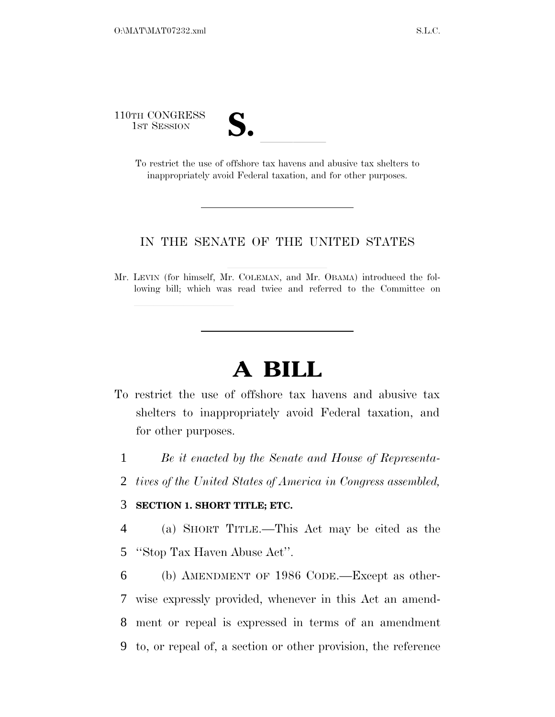110TH CONGRESS



TH CONGRESS<br>
1ST SESSION<br>
To restrict the use of offshore tax havens and abusive tax shelters to inappropriately avoid Federal taxation, and for other purposes.

### IN THE SENATE OF THE UNITED STATES

Mr. LEVIN (for himself, Mr. COLEMAN, and Mr. OBAMA) introduced the following bill; which was read twice and referred to the Committee on

# **A BILL**

- To restrict the use of offshore tax havens and abusive tax shelters to inappropriately avoid Federal taxation, and for other purposes.
	- 1 *Be it enacted by the Senate and House of Representa-*
	- 2 *tives of the United States of America in Congress assembled,*

### 3 **SECTION 1. SHORT TITLE; ETC.**

4 (a) SHORT TITLE.—This Act may be cited as the 5 ''Stop Tax Haven Abuse Act''.

 (b) AMENDMENT OF 1986 CODE.—Except as other- wise expressly provided, whenever in this Act an amend- ment or repeal is expressed in terms of an amendment to, or repeal of, a section or other provision, the reference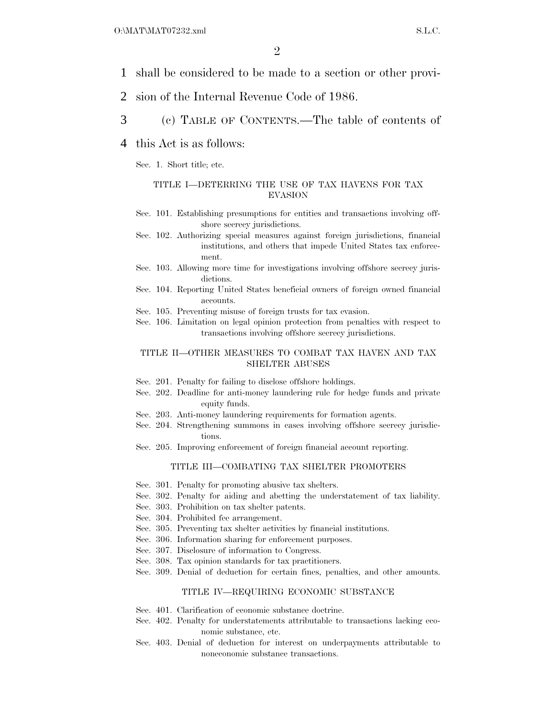- 1 shall be considered to be made to a section or other provi-
- 2 sion of the Internal Revenue Code of 1986.
- 3 (c) TABLE OF CONTENTS.—The table of contents of
- 4 this Act is as follows:

Sec. 1. Short title; etc.

#### TITLE I—DETERRING THE USE OF TAX HAVENS FOR TAX EVASION

- Sec. 101. Establishing presumptions for entities and transactions involving offshore secrecy jurisdictions.
- Sec. 102. Authorizing special measures against foreign jurisdictions, financial institutions, and others that impede United States tax enforcement.
- Sec. 103. Allowing more time for investigations involving offshore secrecy jurisdictions.
- Sec. 104. Reporting United States beneficial owners of foreign owned financial accounts.
- Sec. 105. Preventing misuse of foreign trusts for tax evasion.
- Sec. 106. Limitation on legal opinion protection from penalties with respect to transactions involving offshore secrecy jurisdictions.

#### TITLE II—OTHER MEASURES TO COMBAT TAX HAVEN AND TAX SHELTER ABUSES

- Sec. 201. Penalty for failing to disclose offshore holdings.
- Sec. 202. Deadline for anti-money laundering rule for hedge funds and private equity funds.
- Sec. 203. Anti-money laundering requirements for formation agents.
- Sec. 204. Strengthening summons in cases involving offshore secrecy jurisdictions.
- Sec. 205. Improving enforcement of foreign financial account reporting.

#### TITLE III—COMBATING TAX SHELTER PROMOTERS

- Sec. 301. Penalty for promoting abusive tax shelters.
- Sec. 302. Penalty for aiding and abetting the understatement of tax liability.
- Sec. 303. Prohibition on tax shelter patents.
- Sec. 304. Prohibited fee arrangement.
- Sec. 305. Preventing tax shelter activities by financial institutions.
- Sec. 306. Information sharing for enforcement purposes.
- Sec. 307. Disclosure of information to Congress.
- Sec. 308. Tax opinion standards for tax practitioners.
- Sec. 309. Denial of deduction for certain fines, penalties, and other amounts.

#### TITLE IV—REQUIRING ECONOMIC SUBSTANCE

- Sec. 401. Clarification of economic substance doctrine.
- Sec. 402. Penalty for understatements attributable to transactions lacking economic substance, etc.
- Sec. 403. Denial of deduction for interest on underpayments attributable to noneconomic substance transactions.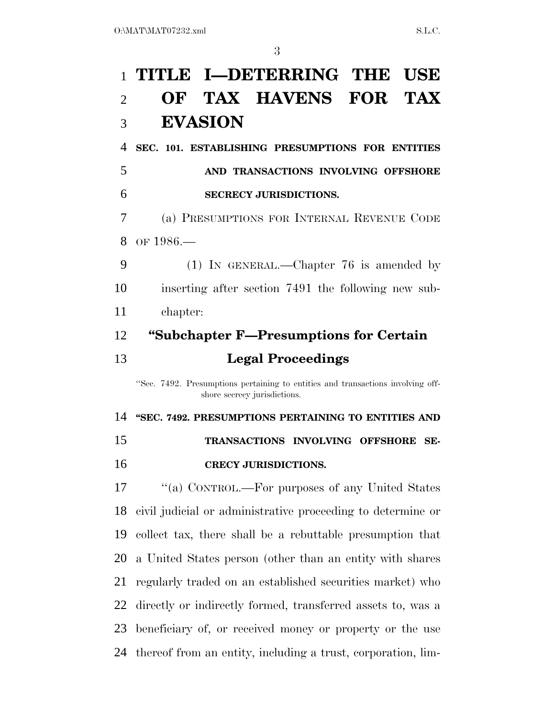# **TITLE I—DETERRING THE USE OF TAX HAVENS FOR TAX EVASION**

**SEC. 101. ESTABLISHING PRESUMPTIONS FOR ENTITIES** 

 **AND TRANSACTIONS INVOLVING OFFSHORE SECRECY JURISDICTIONS.** 

 (a) PRESUMPTIONS FOR INTERNAL REVENUE CODE 8 OF 1986 —

 (1) IN GENERAL.—Chapter 76 is amended by inserting after section 7491 the following new sub-chapter:

## **''Subchapter F—Presumptions for Certain Legal Proceedings**

''Sec. 7492. Presumptions pertaining to entities and transactions involving offshore secrecy jurisdictions.

**''SEC. 7492. PRESUMPTIONS PERTAINING TO ENTITIES AND** 

- **TRANSACTIONS INVOLVING OFFSHORE SE-**
- **CRECY JURISDICTIONS.**

17 "(a) CONTROL.—For purposes of any United States civil judicial or administrative proceeding to determine or collect tax, there shall be a rebuttable presumption that a United States person (other than an entity with shares regularly traded on an established securities market) who directly or indirectly formed, transferred assets to, was a beneficiary of, or received money or property or the use thereof from an entity, including a trust, corporation, lim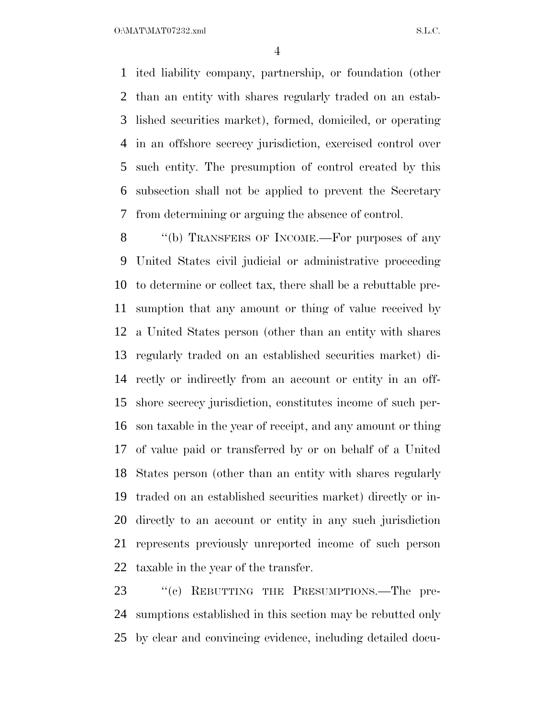$O:\text{MAT} \setminus \text{MAT} \setminus \text{SAT} \setminus \text{SAT} \setminus \text{SAT} \setminus \text{SAT} \setminus \text{SAT} \setminus \text{SAT} \setminus \text{SAT} \setminus \text{SAT} \setminus \text{SAT} \setminus \text{SAT} \setminus \text{SAT} \setminus \text{SAT} \setminus \text{SAT} \setminus \text{SAT} \setminus \text{SAT} \setminus \text{SAT} \setminus \text{SAT} \setminus \text{SAT} \setminus \text{SAT} \setminus \text{SAT} \setminus \text{SAT} \setminus \text{SAT} \setminus \text{SAT} \setminus \text{SAT} \setminus \text{SAT} \setminus \text{$ 

 ited liability company, partnership, or foundation (other than an entity with shares regularly traded on an estab- lished securities market), formed, domiciled, or operating in an offshore secrecy jurisdiction, exercised control over such entity. The presumption of control created by this subsection shall not be applied to prevent the Secretary from determining or arguing the absence of control.

8 "(b) TRANSFERS OF INCOME.—For purposes of any United States civil judicial or administrative proceeding to determine or collect tax, there shall be a rebuttable pre- sumption that any amount or thing of value received by a United States person (other than an entity with shares regularly traded on an established securities market) di- rectly or indirectly from an account or entity in an off- shore secrecy jurisdiction, constitutes income of such per- son taxable in the year of receipt, and any amount or thing of value paid or transferred by or on behalf of a United States person (other than an entity with shares regularly traded on an established securities market) directly or in- directly to an account or entity in any such jurisdiction represents previously unreported income of such person taxable in the year of the transfer.

23 "(c) REBUTTING THE PRESUMPTIONS.—The pre- sumptions established in this section may be rebutted only by clear and convincing evidence, including detailed docu-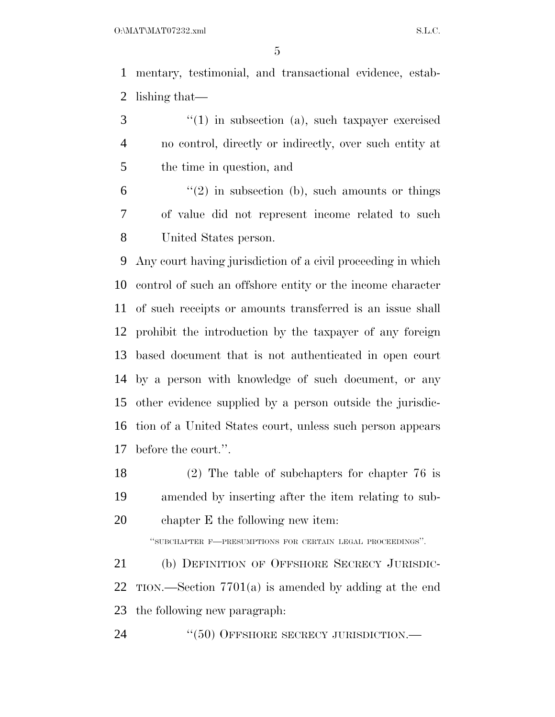mentary, testimonial, and transactional evidence, estab-lishing that—

3 "(1) in subsection (a), such taxpayer exercised no control, directly or indirectly, over such entity at the time in question, and

 $(6)$  ''(2) in subsection (b), such amounts or things of value did not represent income related to such United States person.

 Any court having jurisdiction of a civil proceeding in which control of such an offshore entity or the income character of such receipts or amounts transferred is an issue shall prohibit the introduction by the taxpayer of any foreign based document that is not authenticated in open court by a person with knowledge of such document, or any other evidence supplied by a person outside the jurisdic- tion of a United States court, unless such person appears before the court.''.

 (2) The table of subchapters for chapter 76 is amended by inserting after the item relating to sub-chapter E the following new item:

''SUBCHAPTER F—PRESUMPTIONS FOR CERTAIN LEGAL PROCEEDINGS''.

 (b) DEFINITION OF OFFSHORE SECRECY JURISDIC- TION.—Section 7701(a) is amended by adding at the end the following new paragraph:

24 "(50) OFFSHORE SECRECY JURISDICTION.—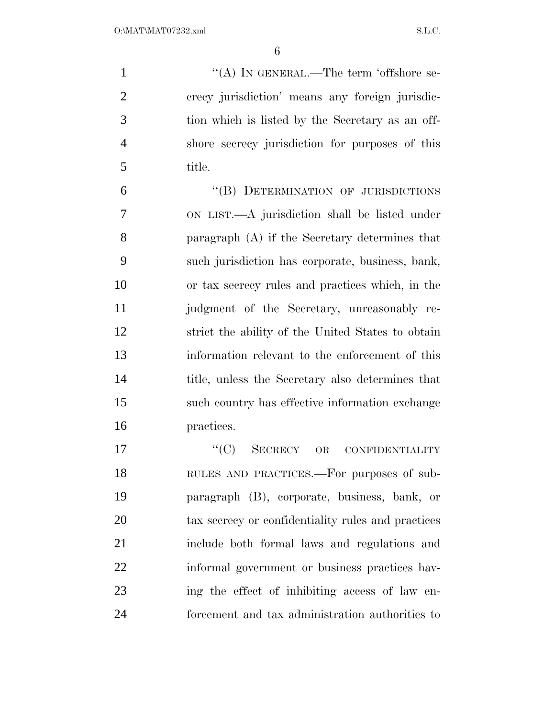$\langle A \rangle$  In GENERAL.—The term 'offshore se- crecy jurisdiction' means any foreign jurisdic- tion which is listed by the Secretary as an off- shore secrecy jurisdiction for purposes of this title.

 ''(B) DETERMINATION OF JURISDICTIONS ON LIST.—A jurisdiction shall be listed under paragraph (A) if the Secretary determines that such jurisdiction has corporate, business, bank, or tax secrecy rules and practices which, in the judgment of the Secretary, unreasonably re- strict the ability of the United States to obtain information relevant to the enforcement of this title, unless the Secretary also determines that such country has effective information exchange practices.

17 "'(C) SECRECY OR CONFIDENTIALITY RULES AND PRACTICES.—For purposes of sub- paragraph (B), corporate, business, bank, or tax secrecy or confidentiality rules and practices include both formal laws and regulations and informal government or business practices hav- ing the effect of inhibiting access of law en-forcement and tax administration authorities to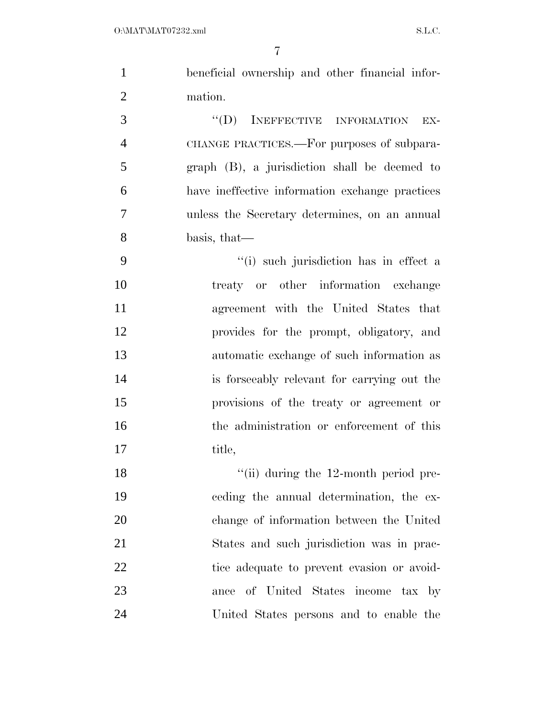| $\mathbf{1}$   | beneficial ownership and other financial infor- |
|----------------|-------------------------------------------------|
| $\overline{2}$ | mation.                                         |
| 3              | "(D) INEFFECTIVE INFORMATION<br>EX-             |
| $\overline{4}$ | CHANGE PRACTICES.—For purposes of subpara-      |
| 5              | graph (B), a jurisdiction shall be deemed to    |
| 6              | have ineffective information exchange practices |
| $\tau$         | unless the Secretary determines, on an annual   |
| 8              | basis, that—                                    |
| 9              | "(i) such jurisdiction has in effect a          |
| 10             | treaty or other information exchange            |
| 11             | agreement with the United States that           |
| 12             | provides for the prompt, obligatory, and        |
| 13             | automatic exchange of such information as       |
| 14             | is forseeably relevant for carrying out the     |
| 15             | provisions of the treaty or agreement or        |
| 16             | the administration or enforcement of this       |
| 17             | title,                                          |
| 18             | $\lq$ (ii) during the 12-month period pre-      |
| 19             | ceding the annual determination, the ex-        |
| 20             | change of information between the United        |
| 21             | States and such jurisdiction was in prac-       |
| 22             | tice adequate to prevent evasion or avoid-      |
| 23             | ance of United States income tax by             |
| 24             | United States persons and to enable the         |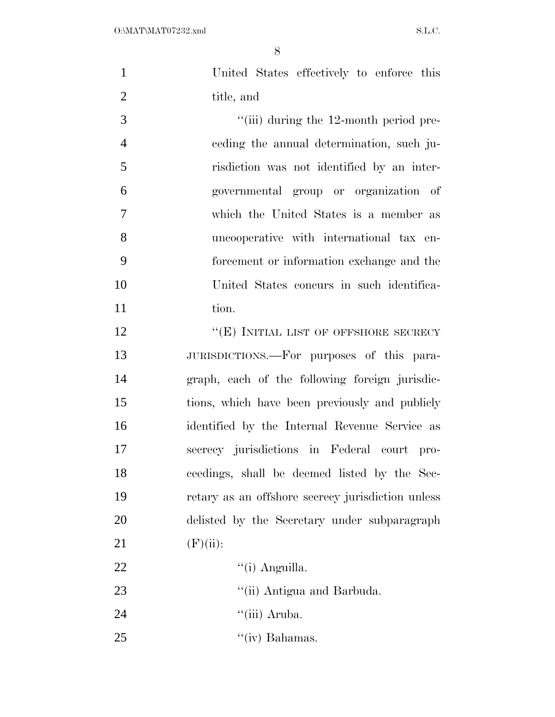| $\mathbf{1}$   | United States effectively to enforce this         |
|----------------|---------------------------------------------------|
| $\overline{2}$ | title, and                                        |
| 3              | $"$ (iii) during the 12-month period pre-         |
| $\overline{4}$ | eeding the annual determination, such ju-         |
| 5              | risdiction was not identified by an inter-        |
| 6              | governmental group or organization of             |
| 7              | which the United States is a member as            |
| 8              | uncooperative with international tax en-          |
| 9              | forcement or information exchange and the         |
| 10             | United States concurs in such identifica-         |
| 11             | tion.                                             |
| 12             | "(E) INITIAL LIST OF OFFSHORE SECRECY             |
| 13             | JURISDICTIONS.—For purposes of this para-         |
| 14             | graph, each of the following foreign jurisdic-    |
| 15             | tions, which have been previously and publicly    |
| 16             | identified by the Internal Revenue Service as     |
| 17             | secrecy jurisdictions in Federal court pro-       |
| 18             | ceedings, shall be deemed listed by the Sec-      |
| 19             | retary as an offshore secrecy jurisdiction unless |
| 20             | delisted by the Secretary under subparagraph      |
| 21             | (F)(ii):                                          |
| 22             | "(i) Anguilla.                                    |
| 23             | "(ii) Antigua and Barbuda.                        |
| 24             | "(iii) Aruba.                                     |
| 25             | $\lq\lq$ (iv) Bahamas.                            |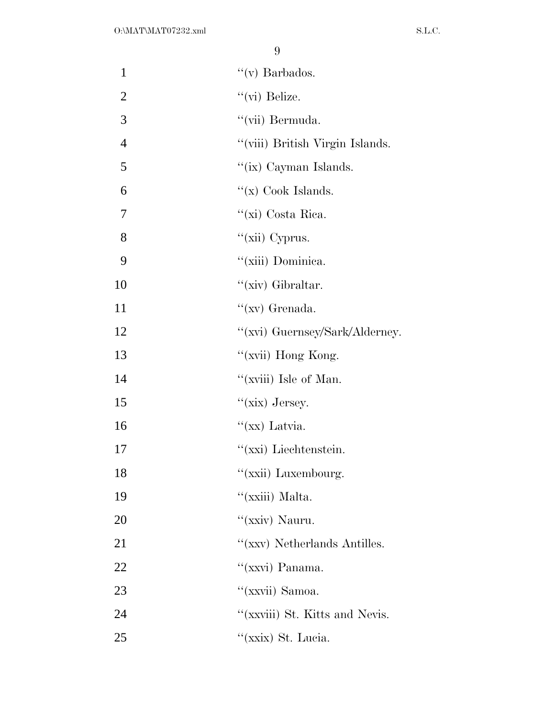| $\mathbf{1}$   | "(v) Barbados.                  |
|----------------|---------------------------------|
| $\overline{2}$ | "(vi) Belize.                   |
| 3              | "(vii) Bermuda.                 |
| $\overline{4}$ | "(viii) British Virgin Islands. |
| 5              | "(ix) Cayman Islands.           |
| 6              | " $(x)$ Cook Islands.           |
| 7              | "(xi) Costa Rica.               |
| 8              | " $(xii)$ Cyprus.               |
| 9              | "(xiii) Dominica.               |
| 10             | "(xiv) Gibraltar.               |
| 11             | "(xv) Grenada.                  |
| 12             | "(xvi) Guernsey/Sark/Alderney.  |
| 13             | "(xvii) Hong Kong.              |
| 14             | "(xviii) Isle of Man.           |
| 15             | " $(xix)$ Jersey.               |
| 16             | " $(xx)$ Latvia.                |
| 17             | "(xxi) Liechtenstein.           |
| 18             | "(xxii) Luxembourg.             |
| 19             | "(xxiii) Malta.                 |
| 20             | "(xxiv) Nauru.                  |
| 21             | "(xxv) Netherlands Antilles.    |
| 22             | "(xxvi) Panama.                 |
| 23             | "(xxvii) Samoa.                 |
| 24             | "(xxviii) St. Kitts and Nevis.  |
| 25             | "(xxix) St. Lucia.              |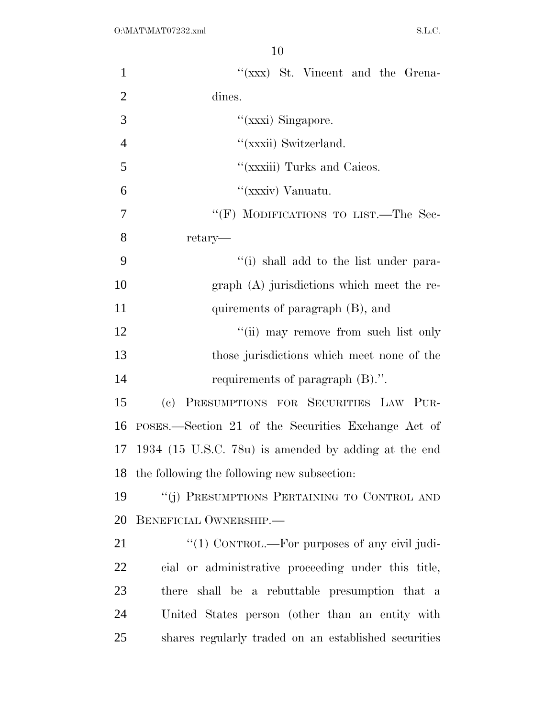| $\mathbf{1}$   | $f(xxx)$ St. Vincent and the Grena-                      |
|----------------|----------------------------------------------------------|
| $\overline{2}$ | dines.                                                   |
| 3              | "(xxxi) Singapore.                                       |
| $\overline{4}$ | "(xxxii) Switzerland.                                    |
| 5              | "(xxxiii) Turks and Caicos.                              |
| 6              | "(xxxiv) Vanuatu.                                        |
| $\overline{7}$ | "(F) MODIFICATIONS TO LIST.—The Sec-                     |
| 8              | retary—                                                  |
| 9              | "(i) shall add to the list under para-                   |
| 10             | $graph(A)$ jurisdictions which meet the re-              |
| 11             | quirements of paragraph (B), and                         |
| 12             | "(ii) may remove from such list only                     |
| 13             | those jurisdictions which meet none of the               |
| 14             | requirements of paragraph (B).".                         |
| 15             | PRESUMPTIONS FOR SECURITIES LAW PUR-<br>(e)              |
| 16             | POSES.—Section 21 of the Securities Exchange Act of      |
| 17             | 1934 (15 U.S.C. 78 $u$ ) is amended by adding at the end |
|                | 18 the following the following new subsection:           |
| 19             | "(j) PRESUMPTIONS PERTAINING TO CONTROL AND              |
| 20             | BENEFICIAL OWNERSHIP.                                    |
| 21             | " $(1)$ CONTROL.—For purposes of any civil judi-         |
| 22             | cial or administrative proceeding under this title,      |
| 23             | there shall be a rebuttable presumption that a           |
| 24             | United States person (other than an entity with          |
| 25             | shares regularly traded on an established securities     |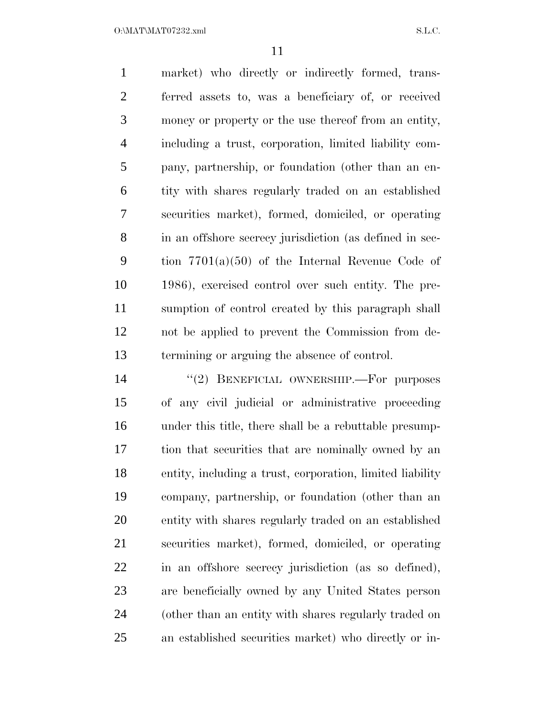$O:\text{MATMAT07232.xml}$  S.L.C.

 market) who directly or indirectly formed, trans- ferred assets to, was a beneficiary of, or received money or property or the use thereof from an entity, including a trust, corporation, limited liability com- pany, partnership, or foundation (other than an en- tity with shares regularly traded on an established securities market), formed, domiciled, or operating in an offshore secrecy jurisdiction (as defined in sec- tion 7701(a)(50) of the Internal Revenue Code of 1986), exercised control over such entity. The pre- sumption of control created by this paragraph shall not be applied to prevent the Commission from de-termining or arguing the absence of control.

14 "(2) BENEFICIAL OWNERSHIP.—For purposes of any civil judicial or administrative proceeding under this title, there shall be a rebuttable presump- tion that securities that are nominally owned by an entity, including a trust, corporation, limited liability company, partnership, or foundation (other than an entity with shares regularly traded on an established securities market), formed, domiciled, or operating in an offshore secrecy jurisdiction (as so defined), are beneficially owned by any United States person (other than an entity with shares regularly traded on an established securities market) who directly or in-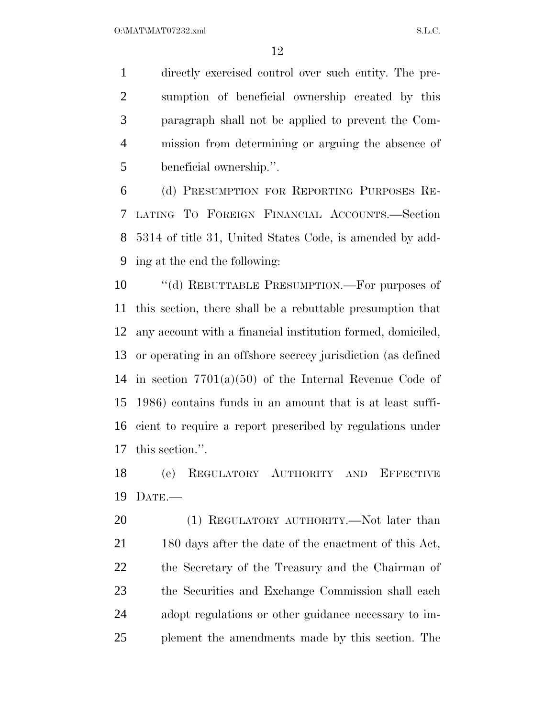directly exercised control over such entity. The pre- sumption of beneficial ownership created by this paragraph shall not be applied to prevent the Com- mission from determining or arguing the absence of beneficial ownership.''.

 (d) PRESUMPTION FOR REPORTING PURPOSES RE- LATING TO FOREIGN FINANCIAL ACCOUNTS.—Section 5314 of title 31, United States Code, is amended by add-ing at the end the following:

 ''(d) REBUTTABLE PRESUMPTION.—For purposes of this section, there shall be a rebuttable presumption that any account with a financial institution formed, domiciled, or operating in an offshore secrecy jurisdiction (as defined in section 7701(a)(50) of the Internal Revenue Code of 1986) contains funds in an amount that is at least suffi- cient to require a report prescribed by regulations under this section.''.

 (e) REGULATORY AUTHORITY AND EFFECTIVE DATE.—

20 (1) REGULATORY AUTHORITY.—Not later than 21 180 days after the date of the enactment of this Act, the Secretary of the Treasury and the Chairman of the Securities and Exchange Commission shall each adopt regulations or other guidance necessary to im-plement the amendments made by this section. The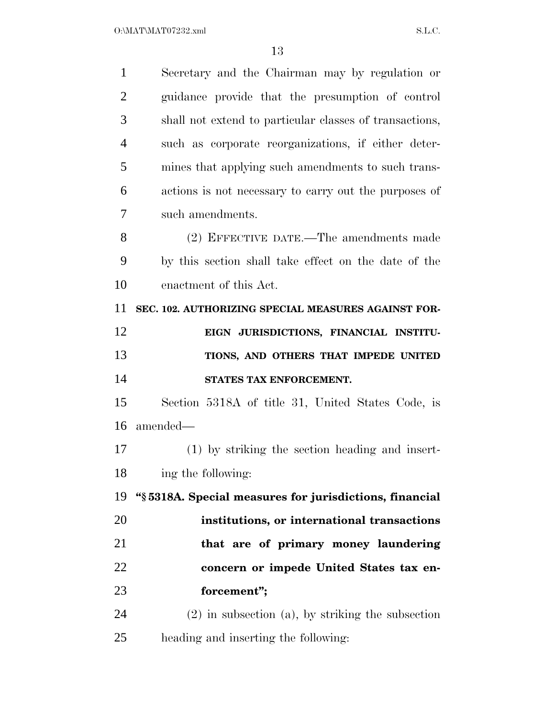| $\mathbf{1}$   | Secretary and the Chairman may by regulation or         |
|----------------|---------------------------------------------------------|
| $\overline{2}$ | guidance provide that the presumption of control        |
| 3              | shall not extend to particular classes of transactions, |
| $\overline{4}$ | such as corporate reorganizations, if either deter-     |
| 5              | mines that applying such amendments to such trans-      |
| 6              | actions is not necessary to carry out the purposes of   |
| 7              | such amendments.                                        |
| 8              | (2) EFFECTIVE DATE.—The amendments made                 |
| 9              | by this section shall take effect on the date of the    |
| 10             | enactment of this Act.                                  |
| 11             | SEC. 102. AUTHORIZING SPECIAL MEASURES AGAINST FOR-     |
| 12             | EIGN JURISDICTIONS, FINANCIAL INSTITU-                  |
| 13             | TIONS, AND OTHERS THAT IMPEDE UNITED                    |
| 14             | STATES TAX ENFORCEMENT.                                 |
| 15             | Section 5318A of title 31, United States Code, is       |
| 16             | amended—                                                |
| 17             | (1) by striking the section heading and insert-         |
| 18             | ing the following:                                      |
| 19             | "§5318A. Special measures for jurisdictions, financial  |
| 20             | institutions, or international transactions             |
| 21             | that are of primary money laundering                    |
| 22             | concern or impede United States tax en-                 |
| 23             | forcement";                                             |
| 24             | $(2)$ in subsection $(a)$ , by striking the subsection  |
|                |                                                         |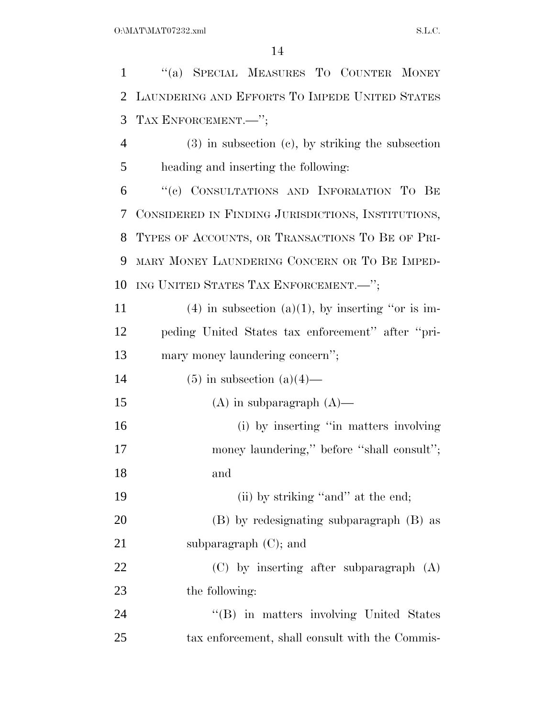''(a) SPECIAL MEASURES TO COUNTER MONEY LAUNDERING AND EFFORTS TO IMPEDE UNITED STATES TAX ENFORCEMENT.—''; (3) in subsection (c), by striking the subsection heading and inserting the following: ''(c) CONSULTATIONS AND INFORMATION TO BE CONSIDERED IN FINDING JURISDICTIONS, INSTITUTIONS, TYPES OF ACCOUNTS, OR TRANSACTIONS TO BE OF PRI- MARY MONEY LAUNDERING CONCERN OR TO BE IMPED- ING UNITED STATES TAX ENFORCEMENT.—''; 11 (4) in subsection (a)(1), by inserting "or is im- peding United States tax enforcement'' after ''pri- mary money laundering concern''; 14 (5) in subsection  $(a)(4)$ — 15 (A) in subparagraph  $(A)$ — 16 (i) by inserting "in matters involving 17 money laundering," before "shall consult"; and 19 (ii) by striking "and" at the end; (B) by redesignating subparagraph (B) as 21 subparagraph (C); and (C) by inserting after subparagraph (A) the following: 24 "(B) in matters involving United States tax enforcement, shall consult with the Commis-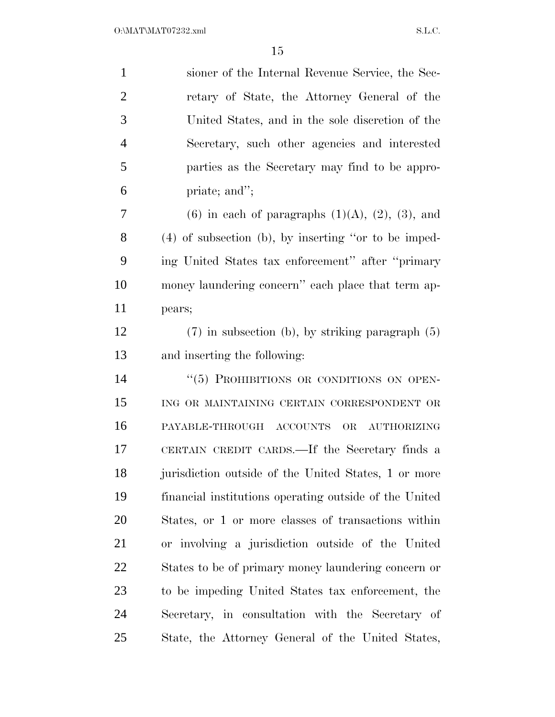| $\mathbf{1}$   | sioner of the Internal Revenue Service, the Sec-           |
|----------------|------------------------------------------------------------|
| $\overline{2}$ | retary of State, the Attorney General of the               |
| 3              | United States, and in the sole discretion of the           |
| $\overline{4}$ | Secretary, such other agencies and interested              |
| 5              | parties as the Secretary may find to be appro-             |
| 6              | priate; and";                                              |
| 7              | $(6)$ in each of paragraphs $(1)(A)$ , $(2)$ , $(3)$ , and |
| 8              | $(4)$ of subsection (b), by inserting "or to be imped-     |
| 9              | ing United States tax enforcement" after "primary          |
| 10             | money laundering concern" each place that term ap-         |
| 11             | pears;                                                     |
| 12             | $(7)$ in subsection (b), by striking paragraph $(5)$       |
| 13             | and inserting the following:                               |
| 14             | "(5) PROHIBITIONS OR CONDITIONS ON OPEN-                   |
| 15             | ING OR MAINTAINING CERTAIN CORRESPONDENT OR                |
| 16             | PAYABLE-THROUGH ACCOUNTS OR AUTHORIZING                    |
| 17             | CERTAIN CREDIT CARDS.—If the Secretary finds a             |
| 18             | jurisdiction outside of the United States, 1 or more       |
| 19             | financial institutions operating outside of the United     |
| 20             | States, or 1 or more classes of transactions within        |
| 21             | or involving a jurisdiction outside of the United          |
| 22             | States to be of primary money laundering concern or        |
| 23             | to be impeding United States tax enforcement, the          |
| 24             | Secretary, in consultation with the Secretary of           |
| 25             | State, the Attorney General of the United States,          |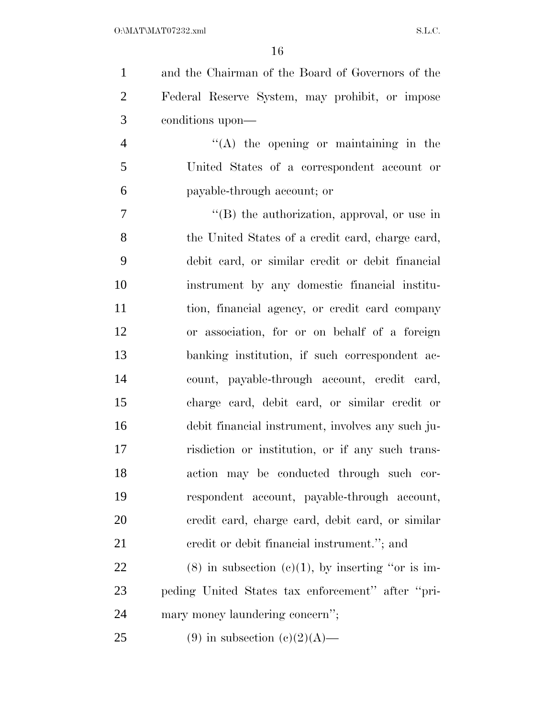and the Chairman of the Board of Governors of the Federal Reserve System, may prohibit, or impose conditions upon—

 ''(A) the opening or maintaining in the United States of a correspondent account or payable-through account; or

 ''(B) the authorization, approval, or use in 8 the United States of a credit card, charge card, debit card, or similar credit or debit financial instrument by any domestic financial institu- tion, financial agency, or credit card company or association, for or on behalf of a foreign banking institution, if such correspondent ac- count, payable-through account, credit card, charge card, debit card, or similar credit or debit financial instrument, involves any such ju- risdiction or institution, or if any such trans- action may be conducted through such cor- respondent account, payable-through account, credit card, charge card, debit card, or similar 21 credit or debit financial instrument."; and

22 (8) in subsection  $(c)(1)$ , by inserting "or is im- peding United States tax enforcement'' after ''pri-mary money laundering concern'';

25 (9) in subsection  $(c)(2)(A)$ —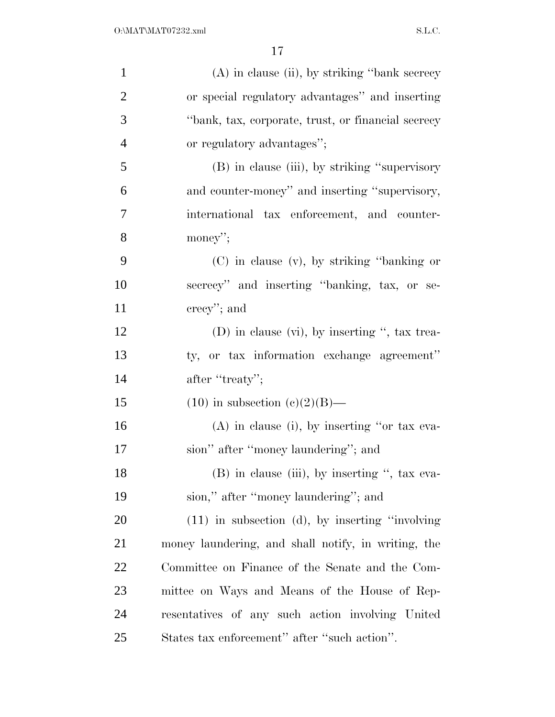| $\mathbf{1}$   | $(A)$ in clause (ii), by striking "bank secrecy"    |
|----------------|-----------------------------------------------------|
| $\overline{2}$ | or special regulatory advantages" and inserting     |
| 3              | "bank, tax, corporate, trust, or financial secrecy  |
| $\overline{4}$ | or regulatory advantages";                          |
| 5              | (B) in clause (iii), by striking "supervisory       |
| 6              | and counter-money" and inserting "supervisory,      |
| 7              | international tax enforcement, and counter-         |
| 8              | money";                                             |
| 9              | (C) in clause (v), by striking "banking or          |
| 10             | secrecy" and inserting "banking, tax, or se-        |
| 11             | $\text{crecy}$ "; and                               |
| 12             | $(D)$ in clause (vi), by inserting ", tax trea-     |
| 13             | ty, or tax information exchange agreement"          |
| 14             | after "treaty";                                     |
| 15             | $(10)$ in subsection $(e)(2)(B)$ —                  |
| 16             | $(A)$ in clause (i), by inserting "or tax eva-      |
| 17             | sion" after "money laundering"; and                 |
| 18             | (B) in clause (iii), by inserting ", tax eva-       |
| 19             | sion," after "money laundering"; and                |
| 20             | $(11)$ in subsection (d), by inserting "involving"  |
| 21             | money laundering, and shall notify, in writing, the |
| 22             | Committee on Finance of the Senate and the Com-     |
| 23             | mittee on Ways and Means of the House of Rep-       |
| 24             | resentatives of any such action involving United    |
| 25             | States tax enforcement" after "such action".        |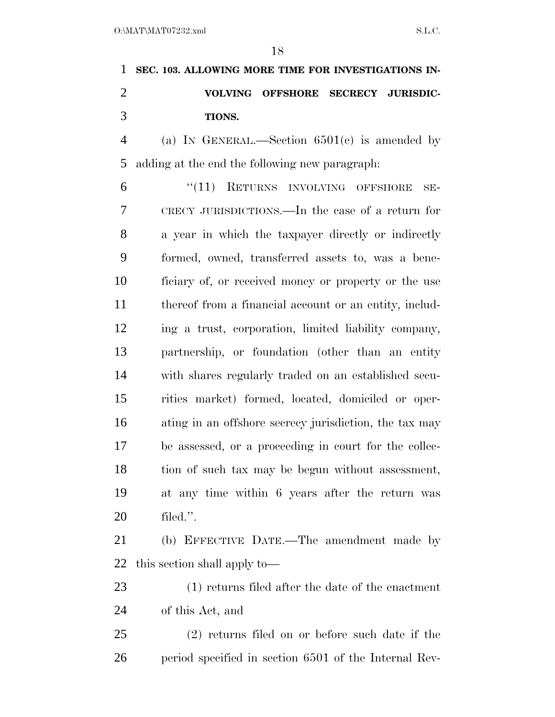**SEC. 103. ALLOWING MORE TIME FOR INVESTIGATIONS IN- VOLVING OFFSHORE SECRECY JURISDIC-TIONS.** 

 (a) IN GENERAL.—Section 6501(c) is amended by adding at the end the following new paragraph:

 ''(11) RETURNS INVOLVING OFFSHORE SE- CRECY JURISDICTIONS.—In the case of a return for a year in which the taxpayer directly or indirectly formed, owned, transferred assets to, was a bene- ficiary of, or received money or property or the use thereof from a financial account or an entity, includ- ing a trust, corporation, limited liability company, partnership, or foundation (other than an entity with shares regularly traded on an established secu- rities market) formed, located, domiciled or oper- ating in an offshore secrecy jurisdiction, the tax may be assessed, or a proceeding in court for the collec- tion of such tax may be begun without assessment, at any time within 6 years after the return was filed.''.

 (b) EFFECTIVE DATE.—The amendment made by this section shall apply to—

 (1) returns filed after the date of the enactment of this Act, and

 (2) returns filed on or before such date if the period specified in section 6501 of the Internal Rev-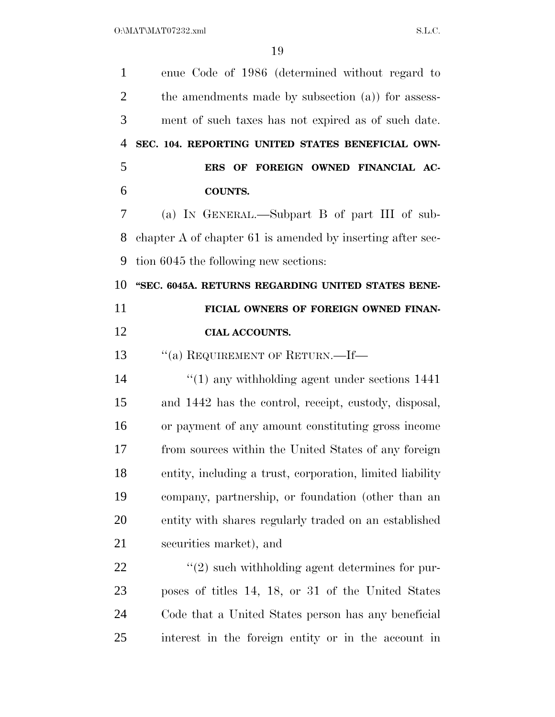| $\mathbf{1}$   | enue Code of 1986 (determined without regard to            |
|----------------|------------------------------------------------------------|
| $\overline{2}$ | the amendments made by subsection (a)) for assess-         |
| 3              | ment of such taxes has not expired as of such date.        |
| 4              | SEC. 104. REPORTING UNITED STATES BENEFICIAL OWN-          |
| 5              | ERS OF FOREIGN OWNED FINANCIAL AC-                         |
| 6              | <b>COUNTS.</b>                                             |
| 7              | (a) IN GENERAL.—Subpart B of part III of sub-              |
| 8              | chapter A of chapter 61 is amended by inserting after sec- |
| 9              | tion 6045 the following new sections:                      |
| 10             | "SEC. 6045A. RETURNS REGARDING UNITED STATES BENE-         |
| 11             | FICIAL OWNERS OF FOREIGN OWNED FINAN-                      |
| 12             | <b>CIAL ACCOUNTS.</b>                                      |
| 13             | $``(a)$ REQUIREMENT OF RETURN.—If—                         |
| 14             | $\cdot\cdot(1)$ any withholding agent under sections 1441  |
| 15             | and 1442 has the control, receipt, custody, disposal,      |
| 16             | or payment of any amount constituting gross income         |
| 17             | from sources within the United States of any foreign       |
| 18             | entity, including a trust, corporation, limited liability  |
| 19             | company, partnership, or foundation (other than an         |
| 20             | entity with shares regularly traded on an established      |
| 21             | securities market), and                                    |
| 22             | $\lq(2)$ such withholding agent determines for pur-        |
| 23             | poses of titles 14, 18, or 31 of the United States         |
| 24             | Code that a United States person has any beneficial        |
| 25             | interest in the foreign entity or in the account in        |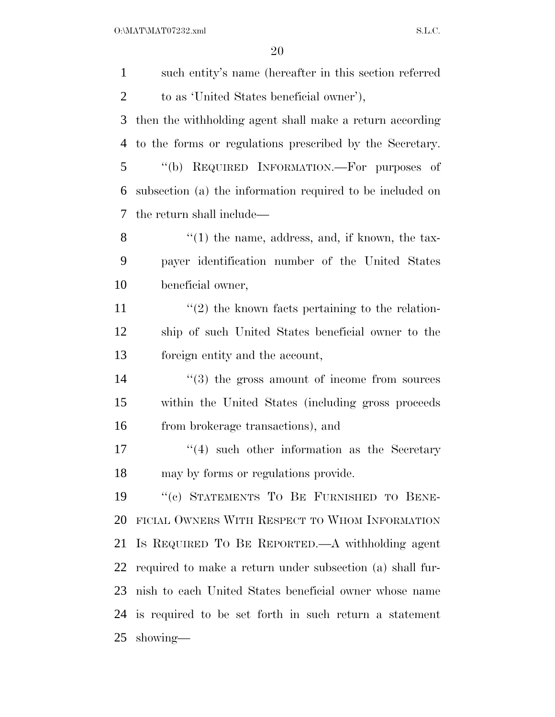$O:\text{MAT}\backslash\text{MAT07232}$ .xml S.L.C.

| $\mathbf{1}$   | such entity's name (hereafter in this section referred    |
|----------------|-----------------------------------------------------------|
| $\overline{2}$ | to as 'United States beneficial owner'),                  |
| 3              | then the withholding agent shall make a return according  |
| $\overline{4}$ | to the forms or regulations prescribed by the Secretary.  |
| 5              | "(b) REQUIRED INFORMATION.—For purposes of                |
| 6              | subsection (a) the information required to be included on |
| 7              | the return shall include—                                 |
| 8              | $\lq(1)$ the name, address, and, if known, the tax-       |
| 9              | payer identification number of the United States          |
| 10             | beneficial owner,                                         |
| 11             | $\lq(2)$ the known facts pertaining to the relation-      |
| 12             | ship of such United States beneficial owner to the        |
| 13             | foreign entity and the account,                           |
| 14             | $(3)$ the gross amount of income from sources             |
| 15             | within the United States (including gross proceeds)       |
| 16             | from brokerage transactions), and                         |
| 17             | $(4)$ such other information as the Secretary             |
| 18             | may by forms or regulations provide.                      |
| 19             | "(c) STATEMENTS TO BE FURNISHED TO BENE-                  |
| 20             | FICIAL OWNERS WITH RESPECT TO WHOM INFORMATION            |
| 21             | Is REQUIRED TO BE REPORTED.—A withholding agent           |
| 22             | required to make a return under subsection (a) shall fur- |
| 23             | nish to each United States beneficial owner whose name    |
|                | 24 is required to be set forth in such return a statement |
| 25             | showing—                                                  |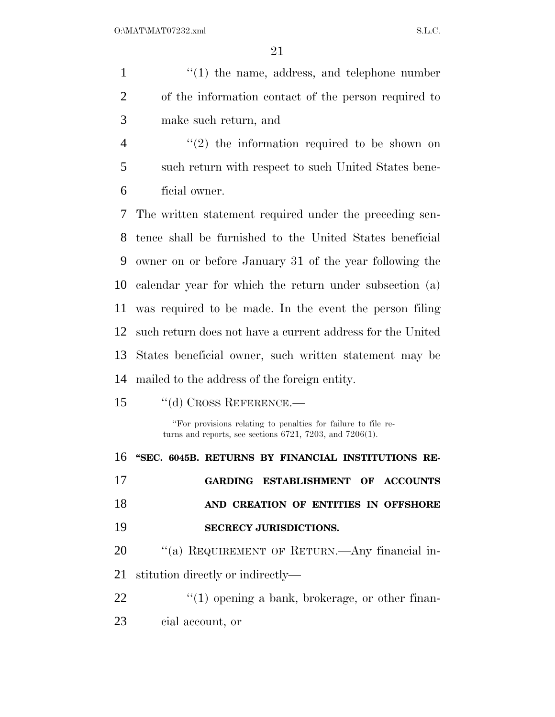| $\mathbf{1}$   | $"(1)$ the name, address, and telephone number                                                                                     |
|----------------|------------------------------------------------------------------------------------------------------------------------------------|
| $\overline{2}$ | of the information contact of the person required to                                                                               |
| 3              | make such return, and                                                                                                              |
| $\overline{4}$ | $(2)$ the information required to be shown on                                                                                      |
| 5              | such return with respect to such United States bene-                                                                               |
| 6              | ficial owner.                                                                                                                      |
| 7              | The written statement required under the preceding sen-                                                                            |
| 8              | tence shall be furnished to the United States beneficial                                                                           |
| 9              | owner on or before January 31 of the year following the                                                                            |
| 10             | calendar year for which the return under subsection (a)                                                                            |
| 11             | was required to be made. In the event the person filing                                                                            |
| 12             | such return does not have a current address for the United                                                                         |
| 13             | States beneficial owner, such written statement may be                                                                             |
| 14             | mailed to the address of the foreign entity.                                                                                       |
| 15             | $"$ (d) CROSS REFERENCE.—                                                                                                          |
|                | "For provisions relating to penalties for failure to file re-<br>turns and reports, see sections $6721$ , $7203$ , and $7206(1)$ . |
| 16             | "SEC. 6045B. RETURNS BY FINANCIAL INSTITUTIONS RE-                                                                                 |
| 17             | GARDING ESTABLISHMENT OF ACCOUNTS                                                                                                  |
| 18             | AND CREATION OF ENTITIES IN OFFSHORE                                                                                               |
| 19             | <b>SECRECY JURISDICTIONS.</b>                                                                                                      |
| 20             | "(a) REQUIREMENT OF RETURN.—Any financial in-                                                                                      |
| 21             | stitution directly or indirectly—                                                                                                  |
| 22             | $"(1)$ opening a bank, brokerage, or other finan-                                                                                  |
| 23             | cial account, or                                                                                                                   |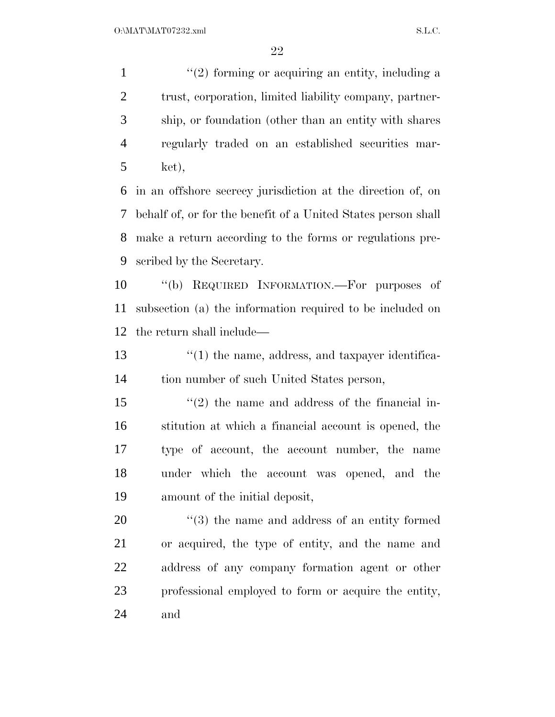$\frac{1}{2}$  forming or acquiring an entity, including a trust, corporation, limited liability company, partner- ship, or foundation (other than an entity with shares regularly traded on an established securities mar-ket),

 in an offshore secrecy jurisdiction at the direction of, on behalf of, or for the benefit of a United States person shall make a return according to the forms or regulations pre-scribed by the Secretary.

 ''(b) REQUIRED INFORMATION.—For purposes of subsection (a) the information required to be included on the return shall include—

13 ''(1) the name, address, and taxpayer identifica-tion number of such United States person,

 ''(2) the name and address of the financial in- stitution at which a financial account is opened, the type of account, the account number, the name under which the account was opened, and the amount of the initial deposit,

 $\frac{1}{20}$  (3) the name and address of an entity formed or acquired, the type of entity, and the name and address of any company formation agent or other professional employed to form or acquire the entity, and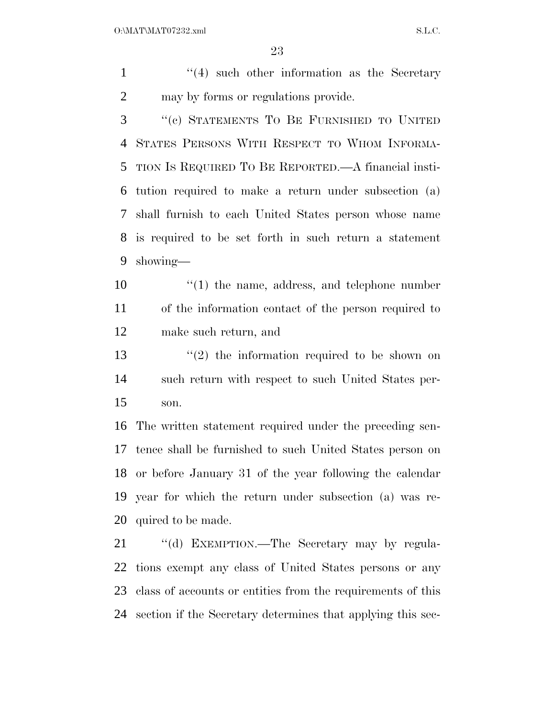1 ''(4) such other information as the Secretary may by forms or regulations provide.

 ''(c) STATEMENTS TO BE FURNISHED TO UNITED STATES PERSONS WITH RESPECT TO WHOM INFORMA- TION IS REQUIRED TO BE REPORTED.—A financial insti- tution required to make a return under subsection (a) shall furnish to each United States person whose name is required to be set forth in such return a statement showing—

10  $\frac{10}{10}$  the name, address, and telephone number of the information contact of the person required to make such return, and

13  $(2)$  the information required to be shown on such return with respect to such United States per-son.

 The written statement required under the preceding sen- tence shall be furnished to such United States person on or before January 31 of the year following the calendar year for which the return under subsection (a) was re-quired to be made.

21 "(d) EXEMPTION.—The Secretary may by regula- tions exempt any class of United States persons or any class of accounts or entities from the requirements of this section if the Secretary determines that applying this sec-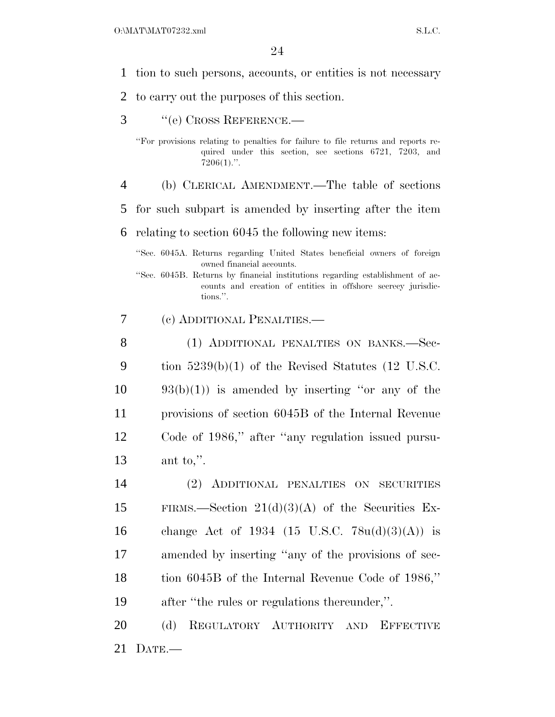- 1 tion to such persons, accounts, or entities is not necessary
- 2 to carry out the purposes of this section.
- 3 ''(e) CROSS REFERENCE.—

''For provisions relating to penalties for failure to file returns and reports required under this section, see sections 6721, 7203, and  $7206(1)$ .".

- 4 (b) CLERICAL AMENDMENT.—The table of sections
- 5 for such subpart is amended by inserting after the item

6 relating to section 6045 the following new items:

''Sec. 6045A. Returns regarding United States beneficial owners of foreign owned financial accounts.

- ''Sec. 6045B. Returns by financial institutions regarding establishment of accounts and creation of entities in offshore secrecy jurisdictions.''.
- 7 (c) ADDITIONAL PENALTIES.—

8 (1) ADDITIONAL PENALTIES ON BANKS.—Sec- tion 5239(b)(1) of the Revised Statutes (12 U.S.C.  $10 \qquad 93(b)(1)$  is amended by inserting "or any of the provisions of section 6045B of the Internal Revenue Code of 1986,'' after ''any regulation issued pursu-ant to,''.

 (2) ADDITIONAL PENALTIES ON SECURITIES 15 FIRMS.—Section  $21(d)(3)(A)$  of the Securities Ex-16 change Act of 1934 (15 U.S.C.  $78u(d)(3)(A)$ ) is amended by inserting ''any of the provisions of sec- tion 6045B of the Internal Revenue Code of 1986,'' after ''the rules or regulations thereunder,''.

20 (d) REGULATORY AUTHORITY AND EFFECTIVE 21 DATE.—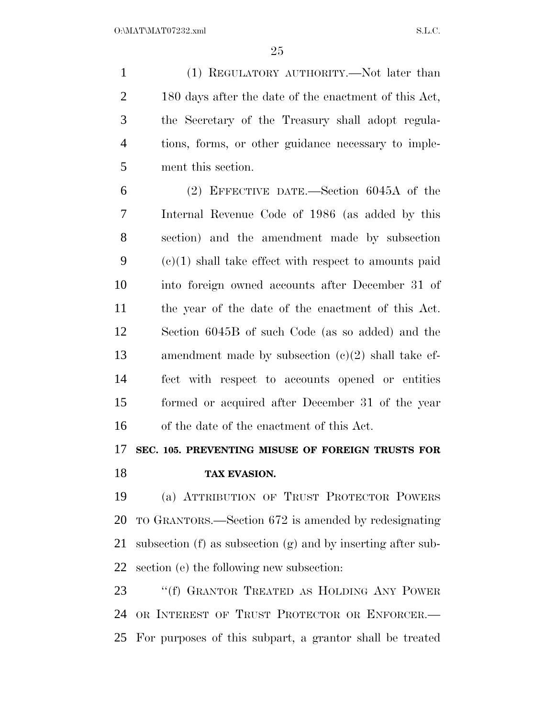(1) REGULATORY AUTHORITY.—Not later than 2 180 days after the date of the enactment of this Act, the Secretary of the Treasury shall adopt regula- tions, forms, or other guidance necessary to imple-ment this section.

 (2) EFFECTIVE DATE.—Section 6045A of the Internal Revenue Code of 1986 (as added by this section) and the amendment made by subsection (c)(1) shall take effect with respect to amounts paid into foreign owned accounts after December 31 of the year of the date of the enactment of this Act. Section 6045B of such Code (as so added) and the amendment made by subsection (c)(2) shall take ef- fect with respect to accounts opened or entities formed or acquired after December 31 of the year of the date of the enactment of this Act.

## **SEC. 105. PREVENTING MISUSE OF FOREIGN TRUSTS FOR**

**TAX EVASION.** 

 (a) ATTRIBUTION OF TRUST PROTECTOR POWERS TO GRANTORS.—Section 672 is amended by redesignating subsection (f) as subsection (g) and by inserting after sub-section (e) the following new subsection:

23 "(f) GRANTOR TREATED AS HOLDING ANY POWER OR INTEREST OF TRUST PROTECTOR OR ENFORCER.— For purposes of this subpart, a grantor shall be treated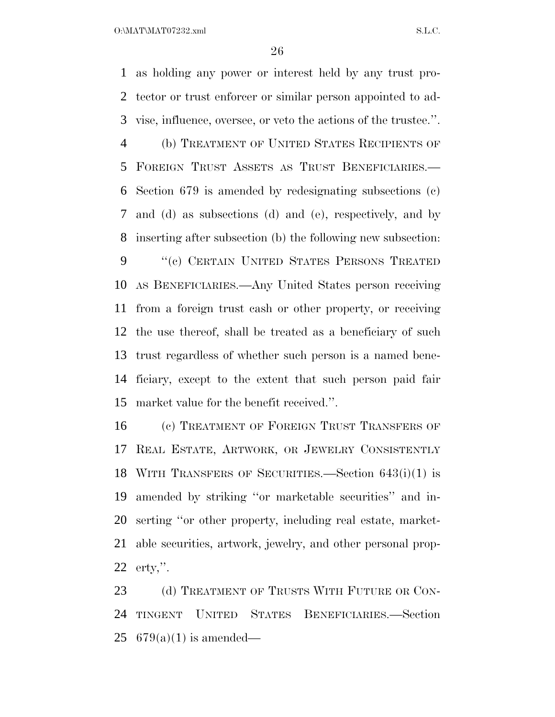$O:\text{MAT} \setminus \text{MAT} \setminus \text{SAT} \setminus \text{SAT} \setminus \text{SAT} \setminus \text{SAT} \setminus \text{SAT} \setminus \text{SAT} \setminus \text{SAT} \setminus \text{SAT} \setminus \text{SAT} \setminus \text{SAT} \setminus \text{SAT} \setminus \text{SAT} \setminus \text{SAT} \setminus \text{SAT} \setminus \text{SAT} \setminus \text{SAT} \setminus \text{SAT} \setminus \text{SAT} \setminus \text{SAT} \setminus \text{SAT} \setminus \text{SAT} \setminus \text{SAT} \setminus \text{SAT} \setminus \text{SAT} \setminus \text{SAT} \setminus \text{$ 

 as holding any power or interest held by any trust pro- tector or trust enforcer or similar person appointed to ad- vise, influence, oversee, or veto the actions of the trustee.''. (b) TREATMENT OF UNITED STATES RECIPIENTS OF FOREIGN TRUST ASSETS AS TRUST BENEFICIARIES.— Section 679 is amended by redesignating subsections (c) and (d) as subsections (d) and (e), respectively, and by inserting after subsection (b) the following new subsection: 9 "(c) CERTAIN UNITED STATES PERSONS TREATED AS BENEFICIARIES.—Any United States person receiving from a foreign trust cash or other property, or receiving the use thereof, shall be treated as a beneficiary of such trust regardless of whether such person is a named bene- ficiary, except to the extent that such person paid fair market value for the benefit received.''.

 (c) TREATMENT OF FOREIGN TRUST TRANSFERS OF REAL ESTATE, ARTWORK, OR JEWELRY CONSISTENTLY WITH TRANSFERS OF SECURITIES.—Section 643(i)(1) is amended by striking ''or marketable securities'' and in- serting ''or other property, including real estate, market- able securities, artwork, jewelry, and other personal prop-erty,''.

23 (d) TREATMENT OF TRUSTS WITH FUTURE OR CON- TINGENT UNITED STATES BENEFICIARIES.—Section 25  $679(a)(1)$  is amended—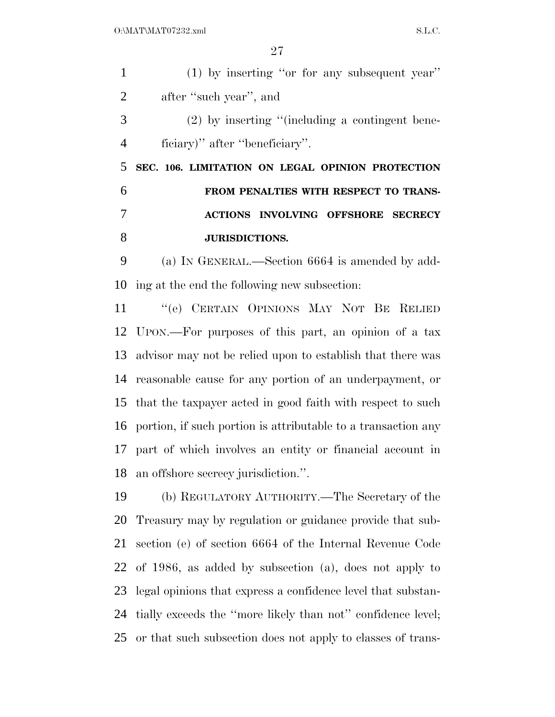| 1              | $(1)$ by inserting "or for any subsequent year"                  |
|----------------|------------------------------------------------------------------|
| $\overline{2}$ | after "such year", and                                           |
| 3              | $(2)$ by inserting "(including a contingent bene-                |
| $\overline{4}$ | ficiary)" after "beneficiary".                                   |
| 5              | SEC. 106. LIMITATION ON LEGAL OPINION PROTECTION                 |
| 6              | FROM PENALTIES WITH RESPECT TO TRANS-                            |
| 7              | ACTIONS INVOLVING OFFSHORE SECRECY                               |
| 8              | <b>JURISDICTIONS.</b>                                            |
| 9              | (a) IN GENERAL.—Section 6664 is amended by add-                  |
| 10             | ing at the end the following new subsection:                     |
| 11             | "(e) CERTAIN OPINIONS MAY NOT BE RELIED                          |
| 12             | UPON.—For purposes of this part, an opinion of a tax             |
| 13             | advisor may not be relied upon to establish that there was       |
| 14             | reasonable cause for any portion of an underpayment, or          |
|                | 15 that the taxpayer acted in good faith with respect to such    |
|                | 16 portion, if such portion is attributable to a transaction any |
| 17             | part of which involves an entity or financial account in         |
|                | 18 an offshore secrecy jurisdiction.".                           |
| 19             | (b) REGULATORY AUTHORITY.—The Secretary of the                   |
| 20             | Treasury may by regulation or guidance provide that sub-         |
| 21             | section (e) of section 6664 of the Internal Revenue Code         |
| 22             | of 1986, as added by subsection (a), does not apply to           |
| 23             | legal opinions that express a confidence level that substan-     |
|                |                                                                  |

tially exceeds the ''more likely than not'' confidence level;

or that such subsection does not apply to classes of trans-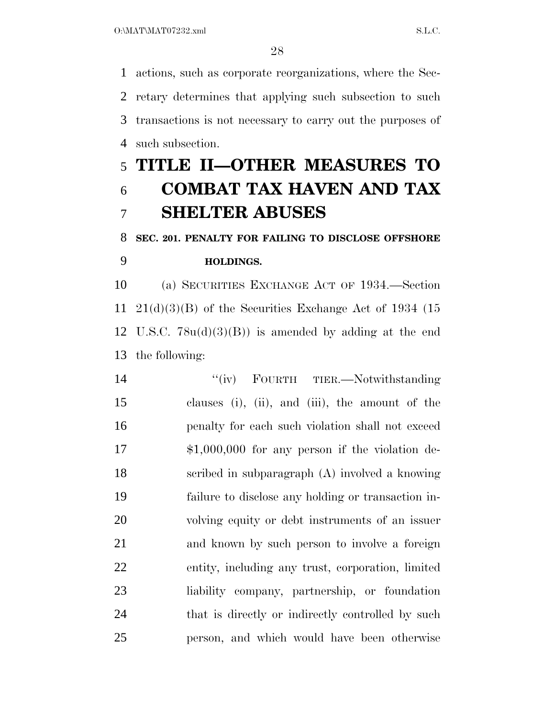actions, such as corporate reorganizations, where the Sec- retary determines that applying such subsection to such transactions is not necessary to carry out the purposes of such subsection.

## **TITLE II—OTHER MEASURES TO COMBAT TAX HAVEN AND TAX SHELTER ABUSES**

## **SEC. 201. PENALTY FOR FAILING TO DISCLOSE OFFSHORE HOLDINGS.**

 (a) SECURITIES EXCHANGE ACT OF 1934.—Section  $21(d)(3)(B)$  of the Securities Exchange Act of 1934 (15 U.S.C. 78u(d)(3)(B)) is amended by adding at the end the following:

14 "(iv) FOURTH TIER.—Notwithstanding clauses (i), (ii), and (iii), the amount of the penalty for each such violation shall not exceed \$1,000,000 for any person if the violation de- scribed in subparagraph (A) involved a knowing failure to disclose any holding or transaction in- volving equity or debt instruments of an issuer and known by such person to involve a foreign entity, including any trust, corporation, limited liability company, partnership, or foundation 24 that is directly or indirectly controlled by such person, and which would have been otherwise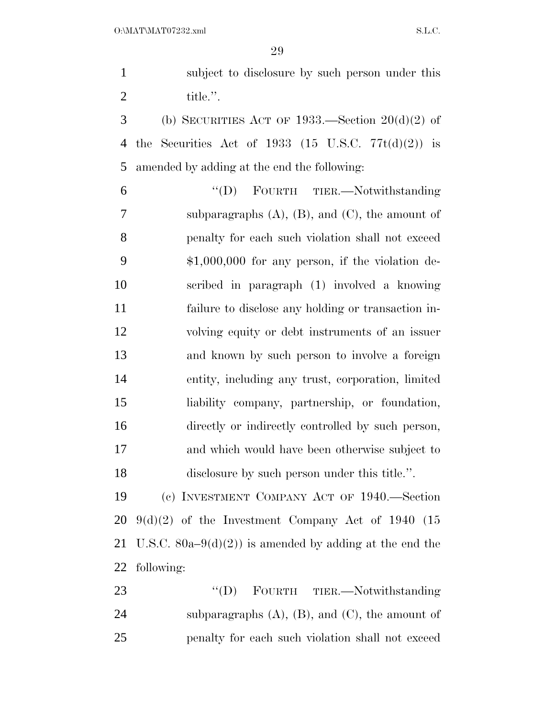| $\mathbf{1}$   | subject to disclosure by such person under this         |
|----------------|---------------------------------------------------------|
| $\overline{2}$ | title.".                                                |
| 3              | (b) SECURITIES ACT OF 1933.—Section $20(d)(2)$ of       |
| $\overline{4}$ | the Securities Act of 1933 (15 U.S.C. $77t(d)(2)$ ) is  |
| 5              | amended by adding at the end the following:             |
| 6              | "(D) FOURTH TIER.-Notwithstanding                       |
| 7              | subparagraphs $(A)$ , $(B)$ , and $(C)$ , the amount of |
| 8              | penalty for each such violation shall not exceed        |
| 9              | $$1,000,000$ for any person, if the violation de-       |
| 10             | scribed in paragraph (1) involved a knowing             |
| 11             | failure to disclose any holding or transaction in-      |
| 12             | volving equity or debt instruments of an issuer         |
| 13             | and known by such person to involve a foreign           |
| 14             | entity, including any trust, corporation, limited       |
| 15             | liability company, partnership, or foundation,          |
| 16             | directly or indirectly controlled by such person,       |
| 17             | and which would have been otherwise subject to          |
| 18             | disclosure by such person under this title.".           |
| 19             | (c) INVESTMENT COMPANY ACT OF 1940.—Section             |
| 20             | $9(d)(2)$ of the Investment Company Act of 1940 (15     |
| 21             | U.S.C. 80a–9(d)(2)) is amended by adding at the end the |
| 22             | following:                                              |
| 23             | "(D) FOURTH TIER.—Notwithstanding                       |
| 24             | subparagraphs $(A)$ , $(B)$ , and $(C)$ , the amount of |
| 25             | penalty for each such violation shall not exceed        |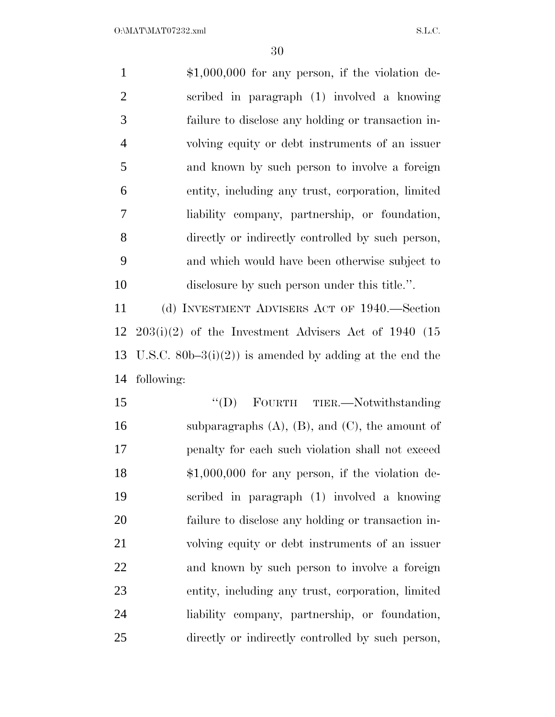| $\mathbf{1}$   | $$1,000,000$ for any person, if the violation de-       |
|----------------|---------------------------------------------------------|
| $\overline{2}$ | scribed in paragraph (1) involved a knowing             |
| $\mathfrak{Z}$ | failure to disclose any holding or transaction in-      |
| $\overline{4}$ | volving equity or debt instruments of an issuer         |
| 5              | and known by such person to involve a foreign           |
| 6              | entity, including any trust, corporation, limited       |
| $\tau$         | liability company, partnership, or foundation,          |
| 8              | directly or indirectly controlled by such person,       |
| 9              | and which would have been otherwise subject to          |
| 10             | disclosure by such person under this title.".           |
| 11             | (d) INVESTMENT ADVISERS ACT OF 1940.—Section            |
| 12             | $203(i)(2)$ of the Investment Advisers Act of 1940 (15  |
| 13             | U.S.C. 80b-3(i)(2)) is amended by adding at the end the |
| 14             | following:                                              |
| 15             | "(D) FOURTH TIER.—Notwithstanding                       |
| 16             | subparagraphs $(A)$ , $(B)$ , and $(C)$ , the amount of |
| 17             | penalty for each such violation shall not exceed        |
| 18             | $$1,000,000$ for any person, if the violation de-       |
| 19             | scribed in paragraph (1) involved a knowing             |
| 20             | failure to disclose any holding or transaction in-      |
| 21             | volving equity or debt instruments of an issuer         |
| 22             | and known by such person to involve a foreign           |
| 23             | entity, including any trust, corporation, limited       |
| 24             | liability company, partnership, or foundation,          |
| 25             | directly or indirectly controlled by such person,       |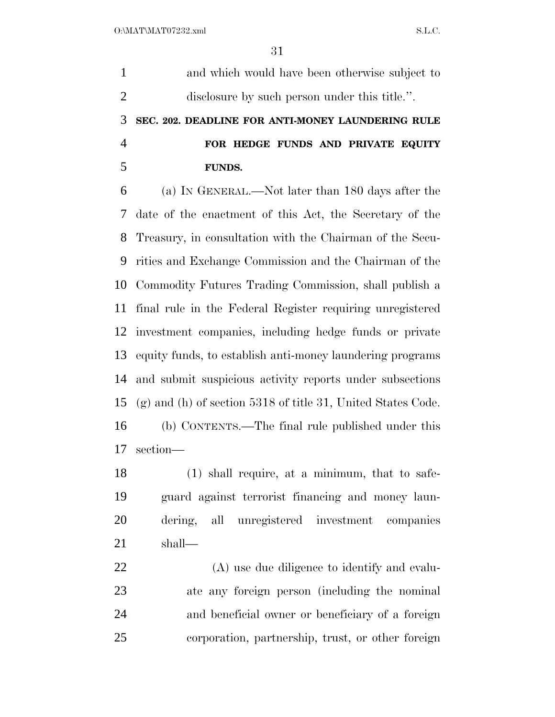and which would have been otherwise subject to disclosure by such person under this title.''. **SEC. 202. DEADLINE FOR ANTI-MONEY LAUNDERING RULE FOR HEDGE FUNDS AND PRIVATE EQUITY FUNDS.**  (a) IN GENERAL.—Not later than 180 days after the date of the enactment of this Act, the Secretary of the Treasury, in consultation with the Chairman of the Secu- rities and Exchange Commission and the Chairman of the Commodity Futures Trading Commission, shall publish a final rule in the Federal Register requiring unregistered investment companies, including hedge funds or private equity funds, to establish anti-money laundering programs and submit suspicious activity reports under subsections (g) and (h) of section 5318 of title 31, United States Code. (b) CONTENTS.—The final rule published under this section—

 (1) shall require, at a minimum, that to safe- guard against terrorist financing and money laun- dering, all unregistered investment companies shall—

 (A) use due diligence to identify and evalu- ate any foreign person (including the nominal and beneficial owner or beneficiary of a foreign corporation, partnership, trust, or other foreign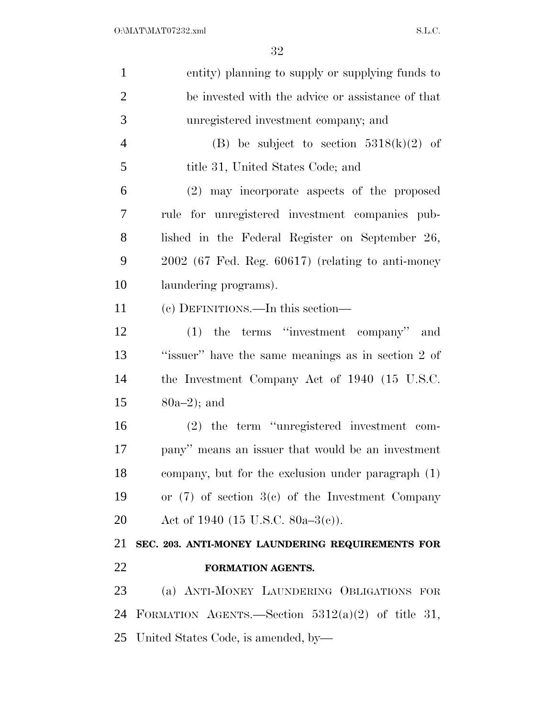| $\mathbf{1}$   | entity) planning to supply or supplying funds to     |
|----------------|------------------------------------------------------|
| $\overline{2}$ | be invested with the advice or assistance of that    |
| 3              | unregistered investment company; and                 |
| $\overline{4}$ | (B) be subject to section $5318(k)(2)$ of            |
| 5              | title 31, United States Code; and                    |
| 6              | (2) may incorporate aspects of the proposed          |
| 7              | rule for unregistered investment companies pub-      |
| 8              | lished in the Federal Register on September 26,      |
| 9              | $2002$ (67 Fed. Reg. 60617) (relating to anti-money  |
| 10             | laundering programs).                                |
| 11             | (c) DEFINITIONS.—In this section—                    |
| 12             | $(1)$ the terms "investment company" and             |
| 13             | "issuer" have the same meanings as in section 2 of   |
| 14             | the Investment Company Act of 1940 (15 U.S.C.        |
| 15             | $80a-2$ ; and                                        |
| 16             | $(2)$ the term "unregistered investment com-         |
| 17             | pany" means an issuer that would be an investment    |
| 18             | company, but for the exclusion under paragraph (1)   |
| 19             | or $(7)$ of section $3(c)$ of the Investment Company |
| 20             | Act of 1940 (15 U.S.C. 80a–3(c)).                    |
| 21             | SEC. 203. ANTI-MONEY LAUNDERING REQUIREMENTS FOR     |
| 22             | FORMATION AGENTS.                                    |
| 23             | (a) ANTI-MONEY LAUNDERING OBLIGATIONS FOR            |
| 24             | FORMATION AGENTS.—Section $5312(a)(2)$ of title 31,  |
| 25             | United States Code, is amended, by-                  |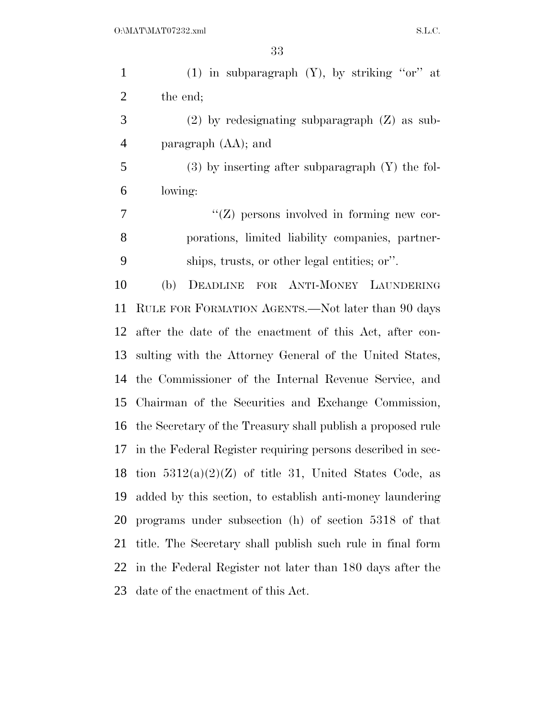| $\mathbf{1}$   | (1) in subparagraph $(Y)$ , by striking "or" at                |
|----------------|----------------------------------------------------------------|
| $\overline{2}$ | the end;                                                       |
| 3              | $(2)$ by redesignating subparagraph $(Z)$ as sub-              |
| $\overline{4}$ | paragraph (AA); and                                            |
| 5              | $(3)$ by inserting after subparagraph $(Y)$ the fol-           |
| 6              | lowing:                                                        |
| 7              | $\lq\lq$ persons involved in forming new cor-                  |
| 8              | porations, limited liability companies, partner-               |
| 9              | ships, trusts, or other legal entities; or".                   |
| 10             | FOR ANTI-MONEY LAUNDERING<br>(b)<br>DEADLINE                   |
| 11             | RULE FOR FORMATION AGENTS.—Not later than 90 days              |
| 12             | after the date of the enactment of this Act, after con-        |
| 13             | sulting with the Attorney General of the United States,        |
| 14             | the Commissioner of the Internal Revenue Service, and          |
| 15             | Chairman of the Securities and Exchange Commission,            |
| 16             | the Secretary of the Treasury shall publish a proposed rule    |
|                | 17 in the Federal Register requiring persons described in sec- |
|                | 18 tion $5312(a)(2)(Z)$ of title 31, United States Code, as    |
| 19             | added by this section, to establish anti-money laundering      |
| 20             | programs under subsection (h) of section 5318 of that          |
| 21             | title. The Secretary shall publish such rule in final form     |
| 22             | in the Federal Register not later than 180 days after the      |
| 23             | date of the enactment of this Act.                             |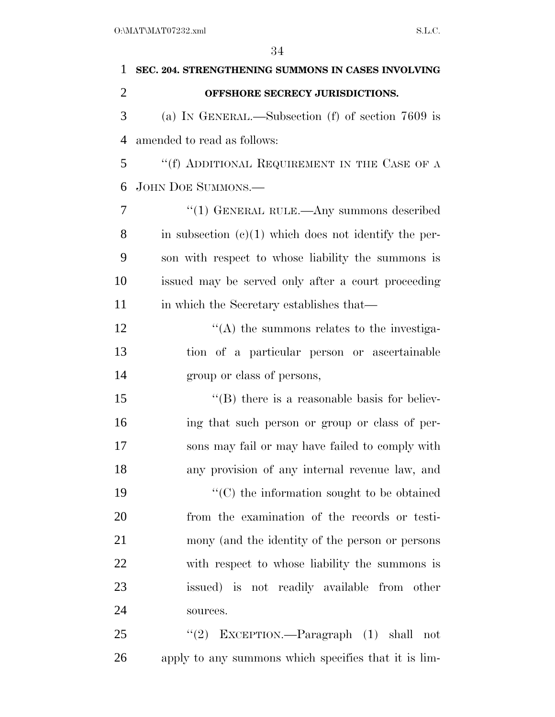| 1              | SEC. 204. STRENGTHENING SUMMONS IN CASES INVOLVING      |
|----------------|---------------------------------------------------------|
| $\overline{2}$ | OFFSHORE SECRECY JURISDICTIONS.                         |
| 3              | (a) IN GENERAL.—Subsection (f) of section $7609$ is     |
| $\overline{4}$ | amended to read as follows:                             |
| 5              | "(f) ADDITIONAL REQUIREMENT IN THE CASE OF A            |
| 6              | <b>JOHN DOE SUMMONS.—</b>                               |
| 7              | " $(1)$ GENERAL RULE.—Any summons described             |
| 8              | in subsection $(c)(1)$ which does not identify the per- |
| 9              | son with respect to whose liability the summons is      |
| 10             | issued may be served only after a court proceeding      |
| 11             | in which the Secretary establishes that—                |
| 12             | $\lq\lq$ the summons relates to the investiga-          |
| 13             | tion of a particular person or ascertainable            |
| 14             | group or class of persons,                              |
| 15             | $\lq\lq$ (B) there is a reasonable basis for believ-    |
| 16             | ing that such person or group or class of per-          |
| 17             | sons may fail or may have failed to comply with         |
| 18             | any provision of any internal revenue law, and          |
| 19             | $\lq\lq$ (C) the information sought to be obtained      |
| 20             | from the examination of the records or testi-           |
| 21             | mony (and the identity of the person or persons         |
| 22             | with respect to whose liability the summons is          |
| 23             | issued) is not readily available from other             |
| 24             | sources.                                                |
| 25             | "(2) EXCEPTION.—Paragraph $(1)$ shall<br>not            |
| 26             | apply to any summons which specifies that it is lim-    |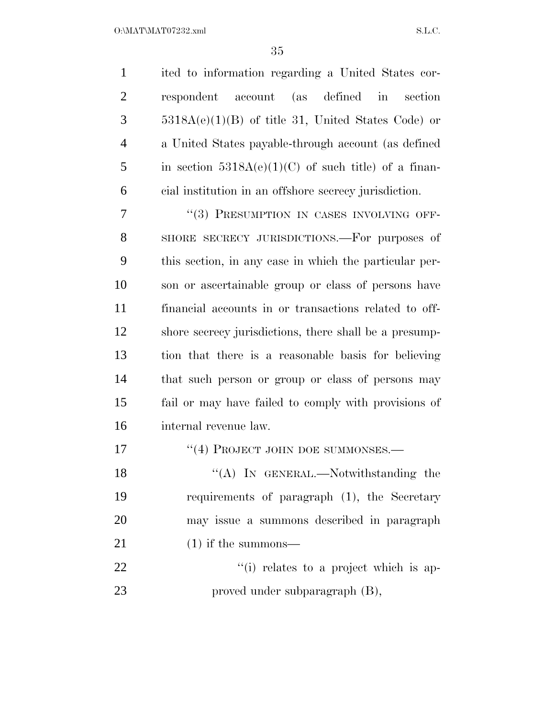$O:\text{MAT} \setminus \text{MAT} \setminus \text{SAT} \setminus \text{S.L.C.}$ 

 ited to information regarding a United States cor- respondent account (as defined in section 5318A(e)(1)(B) of title 31, United States Code) or a United States payable-through account (as defined 5 in section  $5318A(e)(1)(C)$  of such title) of a finan-cial institution in an offshore secrecy jurisdiction.

7 "(3) PRESUMPTION IN CASES INVOLVING OFF- SHORE SECRECY JURISDICTIONS.—For purposes of this section, in any case in which the particular per- son or ascertainable group or class of persons have financial accounts in or transactions related to off- shore secrecy jurisdictions, there shall be a presump- tion that there is a reasonable basis for believing that such person or group or class of persons may fail or may have failed to comply with provisions of internal revenue law.

17 <sup>"</sup>(4) PROJECT JOHN DOE SUMMONSES.—

18 "(A) In GENERAL.—Notwithstanding the requirements of paragraph (1), the Secretary may issue a summons described in paragraph 21 (1) if the summons—

22  $\frac{1}{1}$  relates to a project which is ap-23 proved under subparagraph (B),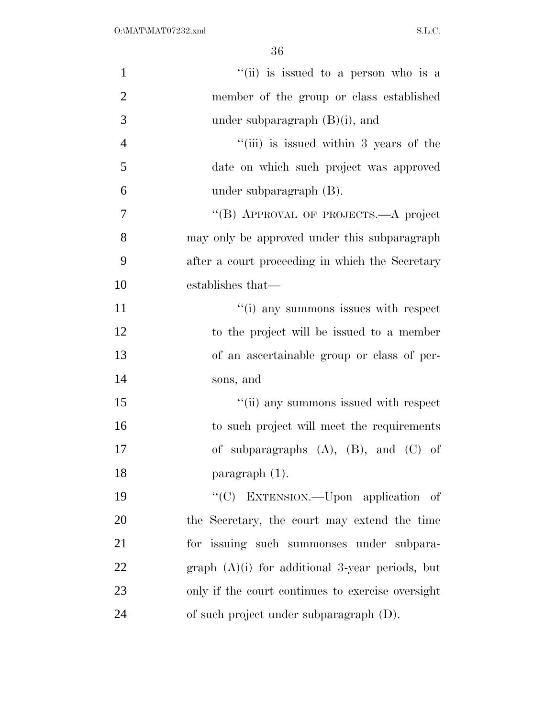| $\mathbf{1}$   | "(ii) is issued to a person who is a              |
|----------------|---------------------------------------------------|
| $\overline{2}$ | member of the group or class established          |
| 3              | under subparagraph $(B)(i)$ , and                 |
| $\overline{4}$ | "(iii) is issued within 3 years of the            |
| 5              | date on which such project was approved           |
| 6              | under subparagraph $(B)$ .                        |
| $\overline{7}$ | "(B) APPROVAL OF PROJECTS.—A project              |
| 8              | may only be approved under this subparagraph      |
| 9              | after a court proceeding in which the Secretary   |
| 10             | establishes that—                                 |
| 11             | "(i) any summons issues with respect              |
| 12             | to the project will be issued to a member         |
| 13             | of an ascertainable group or class of per-        |
| 14             | sons, and                                         |
| 15             | "(ii) any summons issued with respect             |
| 16             | to such project will meet the requirements        |
| 17             | of subparagraphs $(A)$ , $(B)$ , and $(C)$ of     |
| 18             | paragraph $(1)$ .                                 |
| 19             | "(C) EXTENSION.—Upon application of               |
| 20             | the Secretary, the court may extend the time      |
| 21             | for issuing such summonses under subpara-         |
| 22             | graph $(A)(i)$ for additional 3-year periods, but |
| 23             | only if the court continues to exercise oversight |
| 24             | of such project under subparagraph (D).           |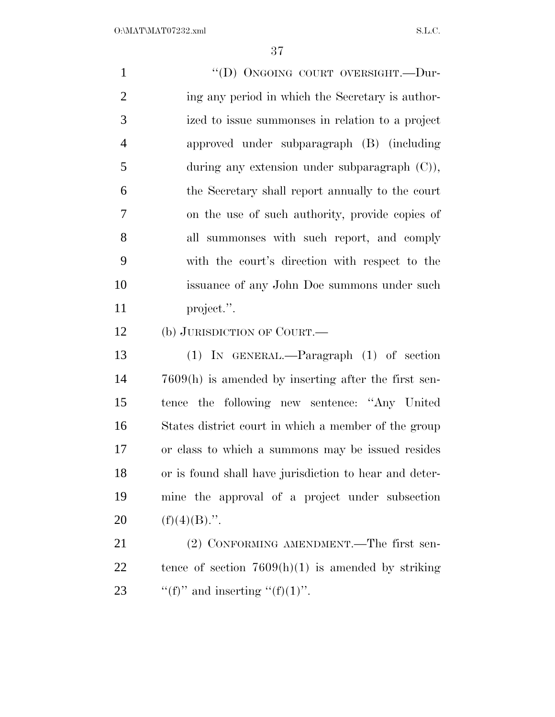| $\mathbf{1}$   | "(D) ONGOING COURT OVERSIGHT.-Dur-                     |
|----------------|--------------------------------------------------------|
| $\overline{2}$ | ing any period in which the Secretary is author-       |
| 3              | ized to issue summonses in relation to a project       |
| $\overline{4}$ | approved under subparagraph (B) (including             |
| 5              | during any extension under subparagraph $(C)$ ),       |
| 6              | the Secretary shall report annually to the court       |
| 7              | on the use of such authority, provide copies of        |
| 8              | all summonses with such report, and comply             |
| 9              | with the court's direction with respect to the         |
| 10             | issuance of any John Doe summons under such            |
| 11             | project.".                                             |
| 12             | (b) JURISDICTION OF COURT.—                            |
| 13             | $(1)$ IN GENERAL.—Paragraph $(1)$ of section           |
| 14             | $7609(h)$ is amended by inserting after the first sen- |
| 15             | tence the following new sentence: "Any United"         |
| 16             | States district court in which a member of the group   |
| 17             | or class to which a summons may be issued resides      |
| 18             | or is found shall have jurisdiction to hear and deter- |
| 19             | mine the approval of a project under subsection        |
| 20             | $(f)(4)(B)$ .".                                        |
| 21             | (2) CONFORMING AMENDMENT.—The first sen-               |
| 22             | tence of section $7609(h)(1)$ is amended by striking   |
|                |                                                        |

23  $\qquad$  "(f)" and inserting "(f)(1)".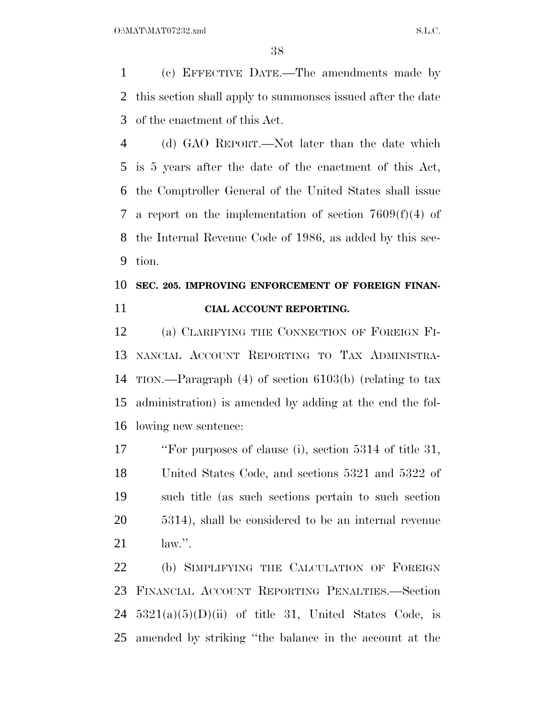(c) EFFECTIVE DATE.—The amendments made by this section shall apply to summonses issued after the date of the enactment of this Act.

 (d) GAO REPORT.—Not later than the date which is 5 years after the date of the enactment of this Act, the Comptroller General of the United States shall issue a report on the implementation of section 7609(f)(4) of the Internal Revenue Code of 1986, as added by this sec-tion.

### **SEC. 205. IMPROVING ENFORCEMENT OF FOREIGN FINAN-CIAL ACCOUNT REPORTING.**

 (a) CLARIFYING THE CONNECTION OF FOREIGN FI- NANCIAL ACCOUNT REPORTING TO TAX ADMINISTRA- TION.—Paragraph (4) of section 6103(b) (relating to tax administration) is amended by adding at the end the fol-lowing new sentence:

 ''For purposes of clause (i), section 5314 of title 31, United States Code, and sections 5321 and 5322 of such title (as such sections pertain to such section 5314), shall be considered to be an internal revenue law.''.

 (b) SIMPLIFYING THE CALCULATION OF FOREIGN FINANCIAL ACCOUNT REPORTING PENALTIES.—Section  $5321(a)(5)(D)(ii)$  of title 31, United States Code, is amended by striking ''the balance in the account at the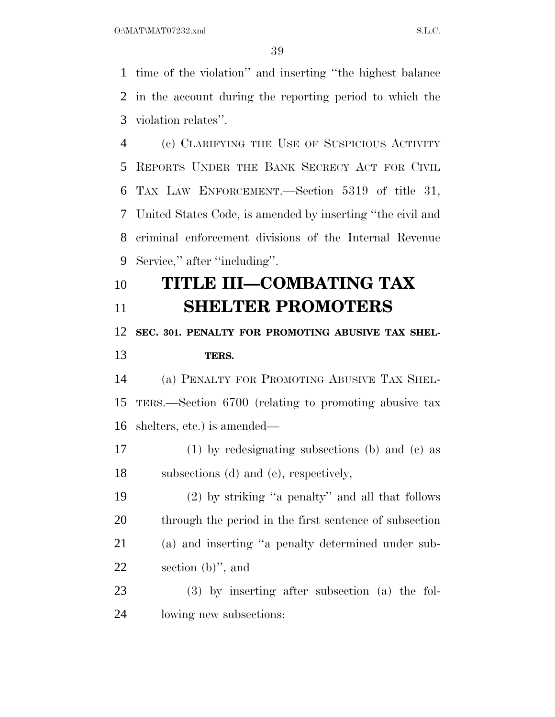time of the violation'' and inserting ''the highest balance in the account during the reporting period to which the violation relates''.

 (c) CLARIFYING THE USE OF SUSPICIOUS ACTIVITY REPORTS UNDER THE BANK SECRECY ACT FOR CIVIL TAX LAW ENFORCEMENT.—Section 5319 of title 31, United States Code, is amended by inserting ''the civil and criminal enforcement divisions of the Internal Revenue Service,'' after ''including''.

## **TITLE III—COMBATING TAX SHELTER PROMOTERS**

### **SEC. 301. PENALTY FOR PROMOTING ABUSIVE TAX SHEL-TERS.**

 (a) PENALTY FOR PROMOTING ABUSIVE TAX SHEL- TERS.—Section 6700 (relating to promoting abusive tax shelters, etc.) is amended—

 (1) by redesignating subsections (b) and (c) as subsections (d) and (e), respectively,

 (2) by striking ''a penalty'' and all that follows through the period in the first sentence of subsection (a) and inserting ''a penalty determined under sub-section (b)'', and

 (3) by inserting after subsection (a) the fol-lowing new subsections: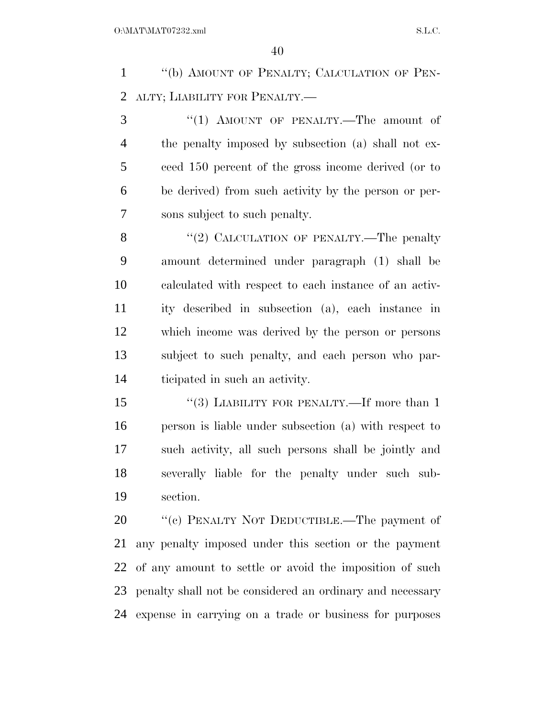''(b) AMOUNT OF PENALTY; CALCULATION OF PEN-ALTY; LIABILITY FOR PENALTY.—

3 "(1) AMOUNT OF PENALTY.—The amount of the penalty imposed by subsection (a) shall not ex- ceed 150 percent of the gross income derived (or to be derived) from such activity by the person or per-sons subject to such penalty.

8 "(2) CALCULATION OF PENALTY.—The penalty amount determined under paragraph (1) shall be calculated with respect to each instance of an activ- ity described in subsection (a), each instance in which income was derived by the person or persons subject to such penalty, and each person who par-ticipated in such an activity.

15 "(3) LIABILITY FOR PENALTY.—If more than 1 person is liable under subsection (a) with respect to such activity, all such persons shall be jointly and severally liable for the penalty under such sub-section.

20 "(c) PENALTY NOT DEDUCTIBLE.—The payment of any penalty imposed under this section or the payment of any amount to settle or avoid the imposition of such penalty shall not be considered an ordinary and necessary expense in carrying on a trade or business for purposes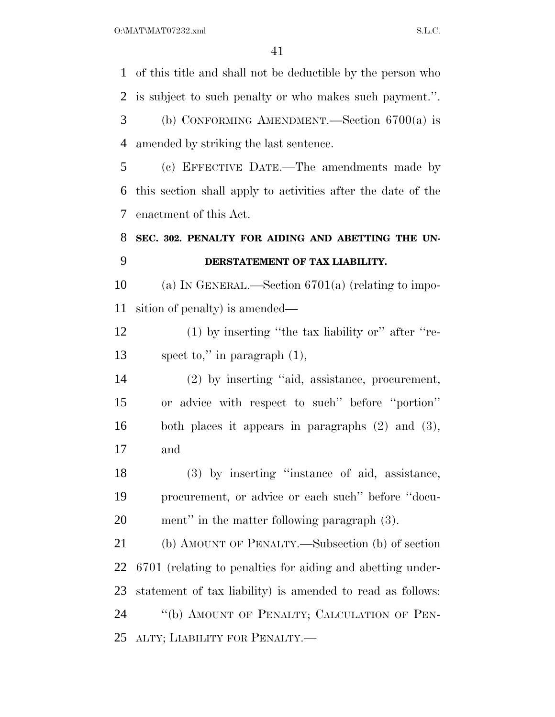$O:\text{MAT} \setminus \text{MAT} \setminus \text{SAT} \setminus \text{SAT} \setminus \text{SAT} \setminus \text{SAT} \setminus \text{SAT} \setminus \text{SAT} \setminus \text{SAT} \setminus \text{SAT} \setminus \text{SAT} \setminus \text{SAT} \setminus \text{SAT} \setminus \text{SAT} \setminus \text{SAT} \setminus \text{SAT} \setminus \text{SAT} \setminus \text{SAT} \setminus \text{SAT} \setminus \text{SAT} \setminus \text{SAT} \setminus \text{SAT} \setminus \text{SAT} \setminus \text{SAT} \setminus \text{SAT} \setminus \text{SAT} \setminus \text{SAT} \setminus \text{$ 

 of this title and shall not be deductible by the person who is subject to such penalty or who makes such payment.''. (b) CONFORMING AMENDMENT.—Section 6700(a) is amended by striking the last sentence. (c) EFFECTIVE DATE.—The amendments made by this section shall apply to activities after the date of the enactment of this Act. **SEC. 302. PENALTY FOR AIDING AND ABETTING THE UN- DERSTATEMENT OF TAX LIABILITY.**  (a) IN GENERAL.—Section 6701(a) (relating to impo- sition of penalty) is amended— (1) by inserting ''the tax liability or'' after ''re- spect to,'' in paragraph (1), (2) by inserting ''aid, assistance, procurement, or advice with respect to such'' before ''portion'' both places it appears in paragraphs (2) and (3), and (3) by inserting ''instance of aid, assistance, procurement, or advice or each such'' before ''docu- ment'' in the matter following paragraph (3). (b) AMOUNT OF PENALTY.—Subsection (b) of section 6701 (relating to penalties for aiding and abetting under- statement of tax liability) is amended to read as follows: ''(b) AMOUNT OF PENALTY; CALCULATION OF PEN-ALTY; LIABILITY FOR PENALTY.—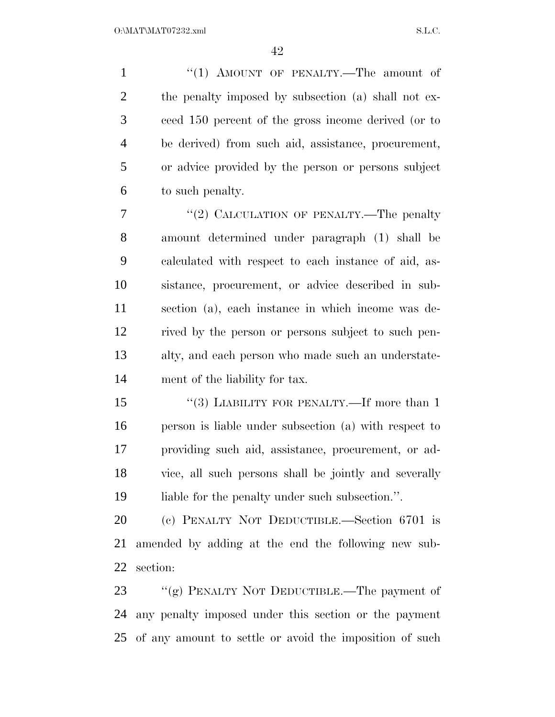1 "(1) AMOUNT OF PENALTY.—The amount of the penalty imposed by subsection (a) shall not ex- ceed 150 percent of the gross income derived (or to be derived) from such aid, assistance, procurement, or advice provided by the person or persons subject to such penalty.

7 "(2) CALCULATION OF PENALTY.—The penalty amount determined under paragraph (1) shall be calculated with respect to each instance of aid, as- sistance, procurement, or advice described in sub- section (a), each instance in which income was de- rived by the person or persons subject to such pen- alty, and each person who made such an understate-ment of the liability for tax.

15 "(3) LIABILITY FOR PENALTY.—If more than 1 person is liable under subsection (a) with respect to providing such aid, assistance, procurement, or ad- vice, all such persons shall be jointly and severally 19 liable for the penalty under such subsection.".

 (c) PENALTY NOT DEDUCTIBLE.—Section 6701 is amended by adding at the end the following new sub-section:

23 "(g) PENALTY NOT DEDUCTIBLE.—The payment of any penalty imposed under this section or the payment of any amount to settle or avoid the imposition of such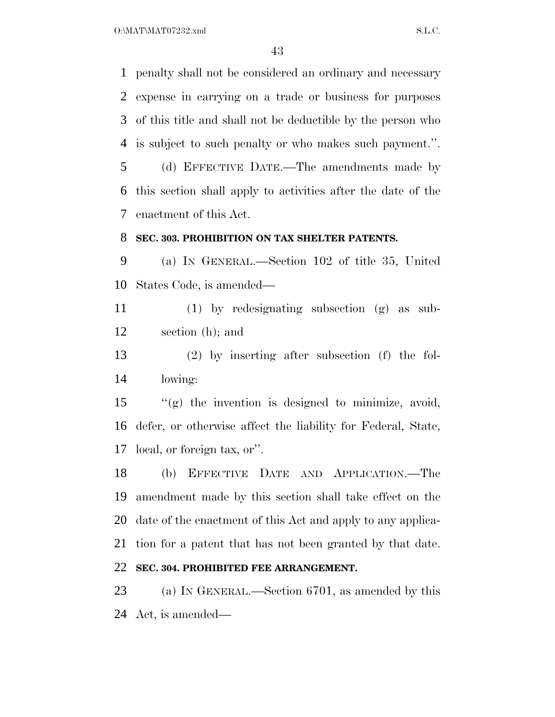$O:\text{MAT} \setminus \text{MAT} \setminus \text{ST}$ 

 penalty shall not be considered an ordinary and necessary expense in carrying on a trade or business for purposes of this title and shall not be deductible by the person who is subject to such penalty or who makes such payment.''.

 (d) EFFECTIVE DATE.—The amendments made by this section shall apply to activities after the date of the enactment of this Act.

#### **SEC. 303. PROHIBITION ON TAX SHELTER PATENTS.**

 (a) IN GENERAL.—Section 102 of title 35, United States Code, is amended—

 (1) by redesignating subsection (g) as sub-section (h); and

 (2) by inserting after subsection (f) the fol-lowing:

 ''(g) the invention is designed to minimize, avoid, defer, or otherwise affect the liability for Federal, State, local, or foreign tax, or''.

 (b) EFFECTIVE DATE AND APPLICATION.—The amendment made by this section shall take effect on the date of the enactment of this Act and apply to any applica- tion for a patent that has not been granted by that date. **SEC. 304. PROHIBITED FEE ARRANGEMENT.** 

 (a) IN GENERAL.—Section 6701, as amended by this Act, is amended—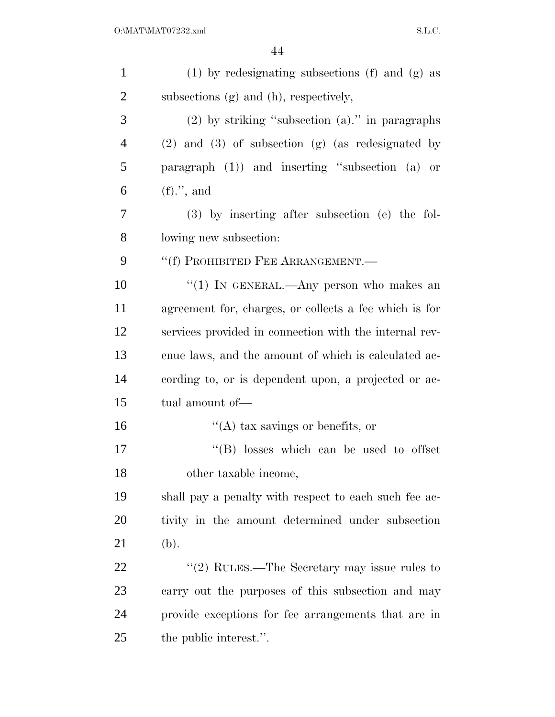| $\mathbf{1}$   | $(1)$ by redesignating subsections $(f)$ and $(g)$ as   |
|----------------|---------------------------------------------------------|
| $\overline{2}$ | subsections (g) and (h), respectively,                  |
| 3              | $(2)$ by striking "subsection $(a)$ ." in paragraphs    |
| $\overline{4}$ | $(2)$ and $(3)$ of subsection $(g)$ (as redesignated by |
| 5              | paragraph $(1)$ and inserting "subsection $(a)$ or      |
| 6              | $(f).$ ", and                                           |
| 7              | (3) by inserting after subsection (e) the fol-          |
| 8              | lowing new subsection:                                  |
| 9              | "(f) PROHIBITED FEE ARRANGEMENT.-                       |
| 10             | "(1) IN GENERAL.—Any person who makes an                |
| 11             | agreement for, charges, or collects a fee which is for  |
| 12             | services provided in connection with the internal rev-  |
| 13             | enue laws, and the amount of which is calculated ac-    |
| 14             | cording to, or is dependent upon, a projected or ac-    |
| 15             | tual amount of-                                         |
| 16             | $\lq\lq$ (A) tax savings or benefits, or                |
| 17             | $\lq\lq$ (B) losses which can be used to offset         |
| 18             | other taxable income,                                   |
| 19             | shall pay a penalty with respect to each such fee ac-   |
| <b>20</b>      | tivity in the amount determined under subsection        |
| 21             | (b).                                                    |
| 22             | "(2) RULES.—The Secretary may issue rules to            |
| 23             | carry out the purposes of this subsection and may       |
| 24             | provide exceptions for fee arrangements that are in     |
| 25             | the public interest.".                                  |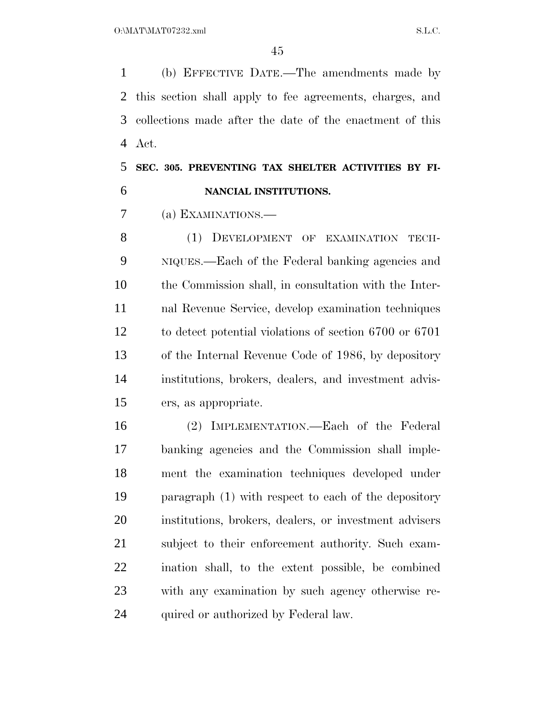(b) EFFECTIVE DATE.—The amendments made by this section shall apply to fee agreements, charges, and collections made after the date of the enactment of this Act.

 **SEC. 305. PREVENTING TAX SHELTER ACTIVITIES BY FI-NANCIAL INSTITUTIONS.** 

(a) EXAMINATIONS.—

8 (1) DEVELOPMENT OF EXAMINATION TECH- NIQUES.—Each of the Federal banking agencies and the Commission shall, in consultation with the Inter- nal Revenue Service, develop examination techniques to detect potential violations of section 6700 or 6701 of the Internal Revenue Code of 1986, by depository institutions, brokers, dealers, and investment advis-ers, as appropriate.

 (2) IMPLEMENTATION.—Each of the Federal banking agencies and the Commission shall imple- ment the examination techniques developed under paragraph (1) with respect to each of the depository institutions, brokers, dealers, or investment advisers subject to their enforcement authority. Such exam- ination shall, to the extent possible, be combined with any examination by such agency otherwise re-24 quired or authorized by Federal law.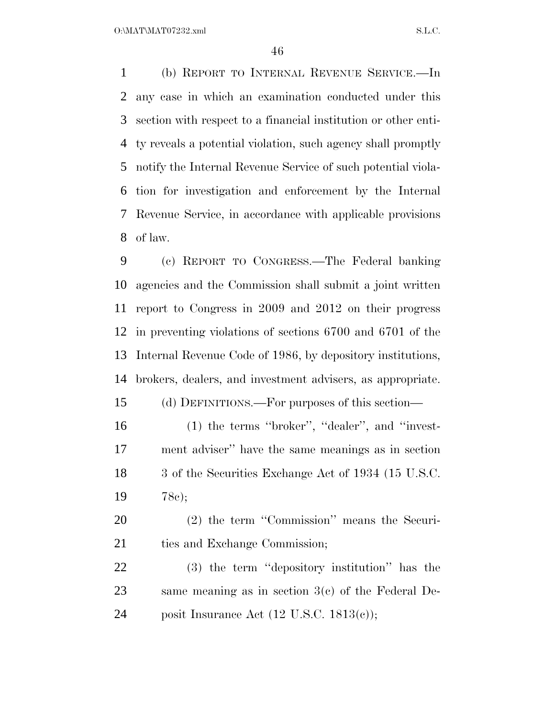(b) REPORT TO INTERNAL REVENUE SERVICE.—In any case in which an examination conducted under this section with respect to a financial institution or other enti- ty reveals a potential violation, such agency shall promptly notify the Internal Revenue Service of such potential viola- tion for investigation and enforcement by the Internal Revenue Service, in accordance with applicable provisions of law.

 (c) REPORT TO CONGRESS.—The Federal banking agencies and the Commission shall submit a joint written report to Congress in 2009 and 2012 on their progress in preventing violations of sections 6700 and 6701 of the Internal Revenue Code of 1986, by depository institutions, brokers, dealers, and investment advisers, as appropriate.

(d) DEFINITIONS.—For purposes of this section—

- (1) the terms ''broker'', ''dealer'', and ''invest- ment adviser'' have the same meanings as in section 18 3 of the Securities Exchange Act of 1934 (15 U.S.C. 78c);
- (2) the term ''Commission'' means the Securi-21 ties and Exchange Commission;
- (3) the term ''depository institution'' has the same meaning as in section 3(c) of the Federal De-posit Insurance Act (12 U.S.C. 1813(c));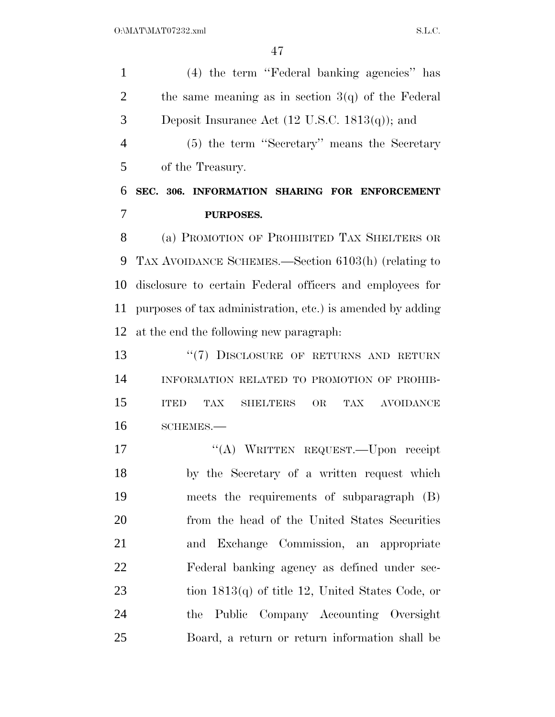(4) the term ''Federal banking agencies'' has 2 the same meaning as in section  $3(q)$  of the Federal 3 Deposit Insurance Act  $(12 \text{ U.S.C. } 1813(q))$ ; and (5) the term ''Secretary'' means the Secretary of the Treasury. **SEC. 306. INFORMATION SHARING FOR ENFORCEMENT PURPOSES.**  (a) PROMOTION OF PROHIBITED TAX SHELTERS OR TAX AVOIDANCE SCHEMES.—Section 6103(h) (relating to disclosure to certain Federal officers and employees for purposes of tax administration, etc.) is amended by adding at the end the following new paragraph: 13 "(7) DISCLOSURE OF RETURNS AND RETURN INFORMATION RELATED TO PROMOTION OF PROHIB- ITED TAX SHELTERS OR TAX AVOIDANCE SCHEMES.— 17 "(A) WRITTEN REQUEST.—Upon receipt by the Secretary of a written request which meets the requirements of subparagraph (B) from the head of the United States Securities and Exchange Commission, an appropriate Federal banking agency as defined under sec- tion 1813(q) of title 12, United States Code, or the Public Company Accounting Oversight Board, a return or return information shall be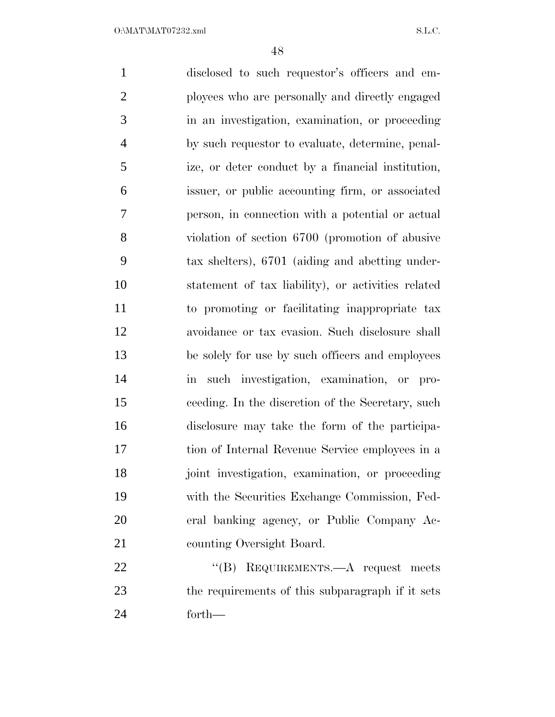disclosed to such requestor's officers and em- ployees who are personally and directly engaged in an investigation, examination, or proceeding by such requestor to evaluate, determine, penal- ize, or deter conduct by a financial institution, issuer, or public accounting firm, or associated person, in connection with a potential or actual violation of section 6700 (promotion of abusive tax shelters), 6701 (aiding and abetting under- statement of tax liability), or activities related to promoting or facilitating inappropriate tax avoidance or tax evasion. Such disclosure shall be solely for use by such officers and employees in such investigation, examination, or pro- ceeding. In the discretion of the Secretary, such disclosure may take the form of the participa- tion of Internal Revenue Service employees in a joint investigation, examination, or proceeding with the Securities Exchange Commission, Fed- eral banking agency, or Public Company Ac- counting Oversight Board. 22 "(B) REQUIREMENTS.—A request meets the requirements of this subparagraph if it sets

forth—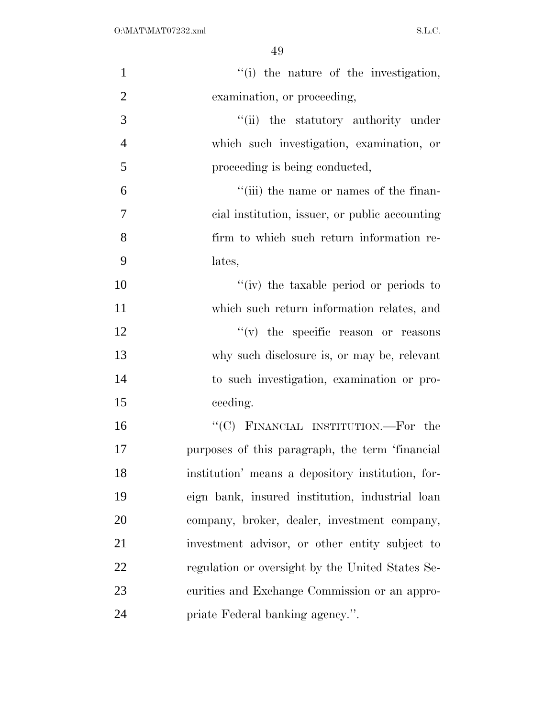| $\mathbf{1}$   | "(i) the nature of the investigation,             |
|----------------|---------------------------------------------------|
| $\overline{2}$ | examination, or proceeding,                       |
| 3              | "(ii) the statutory authority under               |
| $\overline{4}$ | which such investigation, examination, or         |
| 5              | proceeding is being conducted,                    |
| 6              | "(iii) the name or names of the finan-            |
| 7              | eial institution, issuer, or public accounting    |
| 8              | firm to which such return information re-         |
| 9              | lates,                                            |
| 10             | "(iv) the taxable period or periods to            |
| 11             | which such return information relates, and        |
| 12             | $f'(v)$ the specific reason or reasons            |
| 13             | why such disclosure is, or may be, relevant       |
| 14             | to such investigation, examination or pro-        |
| 15             | ceeding.                                          |
| 16             | "(C) FINANCIAL INSTITUTION.—For the               |
| 17             | purposes of this paragraph, the term 'financial   |
| 18             | institution' means a depository institution, for- |
| 19             | eign bank, insured institution, industrial loan   |
| 20             | company, broker, dealer, investment company,      |
| 21             | investment advisor, or other entity subject to    |
| 22             | regulation or oversight by the United States Se-  |
| 23             | curities and Exchange Commission or an appro-     |
| 24             | priate Federal banking agency.".                  |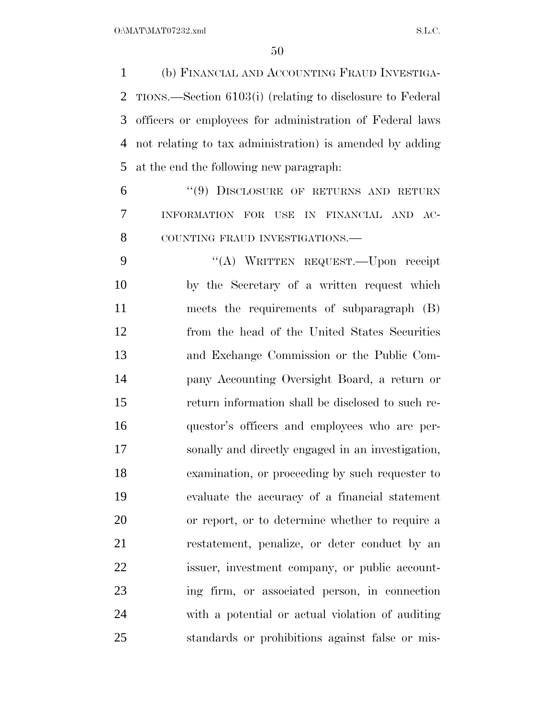(b) FINANCIAL AND ACCOUNTING FRAUD INVESTIGA- TIONS.—Section 6103(i) (relating to disclosure to Federal officers or employees for administration of Federal laws not relating to tax administration) is amended by adding at the end the following new paragraph:

 ''(9) DISCLOSURE OF RETURNS AND RETURN INFORMATION FOR USE IN FINANCIAL AND AC-8 COUNTING FRAUD INVESTIGATIONS.

 ''(A) WRITTEN REQUEST.—Upon receipt by the Secretary of a written request which meets the requirements of subparagraph (B) from the head of the United States Securities and Exchange Commission or the Public Com- pany Accounting Oversight Board, a return or return information shall be disclosed to such re- questor's officers and employees who are per- sonally and directly engaged in an investigation, examination, or proceeding by such requester to evaluate the accuracy of a financial statement or report, or to determine whether to require a restatement, penalize, or deter conduct by an issuer, investment company, or public account- ing firm, or associated person, in connection with a potential or actual violation of auditing standards or prohibitions against false or mis-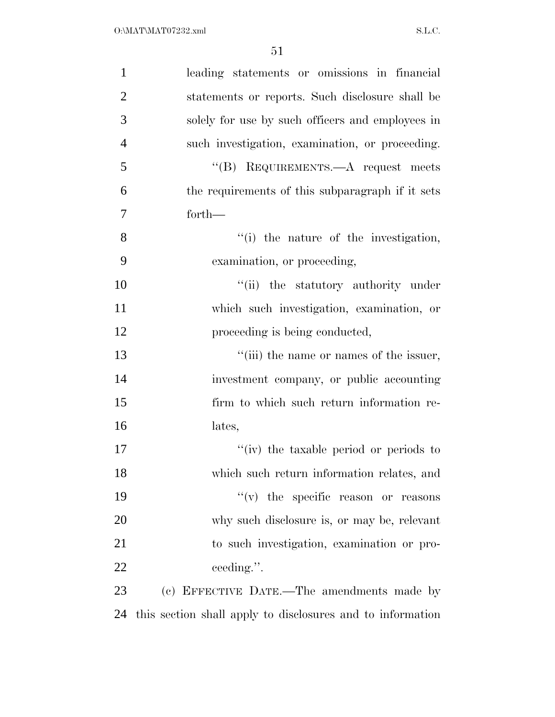| $\mathbf{1}$   | leading statements or omissions in financial               |
|----------------|------------------------------------------------------------|
| $\overline{2}$ | statements or reports. Such disclosure shall be            |
| 3              | solely for use by such officers and employees in           |
| $\overline{4}$ | such investigation, examination, or proceeding.            |
| 5              | "(B) REQUIREMENTS.— $A$ request meets                      |
| 6              | the requirements of this subparagraph if it sets           |
| 7              | $forth-$                                                   |
| 8              | "(i) the nature of the investigation,                      |
| 9              | examination, or proceeding,                                |
| 10             | "(ii) the statutory authority under                        |
| 11             | which such investigation, examination, or                  |
| 12             | proceeding is being conducted,                             |
| 13             | "(iii) the name or names of the issuer,                    |
| 14             | investment company, or public accounting                   |
| 15             | firm to which such return information re-                  |
| 16             | lates,                                                     |
| 17             | "(iv) the taxable period or periods to                     |
| 18             | which such return information relates, and                 |
| 19             | $f'(v)$ the specific reason or reasons                     |
| 20             | why such disclosure is, or may be, relevant                |
| 21             | to such investigation, examination or pro-                 |
| 22             | ceeding.".                                                 |
| 23             | (c) EFFECTIVE DATE.—The amendments made by                 |
| 24             | this section shall apply to disclosures and to information |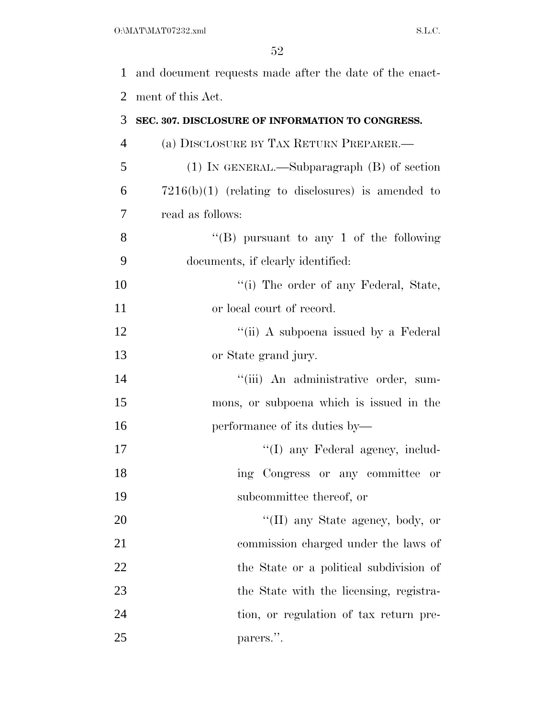| $\mathbf{1}$   | and document requests made after the date of the enact- |
|----------------|---------------------------------------------------------|
| $\overline{2}$ | ment of this Act.                                       |
| 3              | SEC. 307. DISCLOSURE OF INFORMATION TO CONGRESS.        |
| $\overline{4}$ | (a) DISCLOSURE BY TAX RETURN PREPARER.—                 |
| 5              | $(1)$ IN GENERAL.—Subparagraph $(B)$ of section         |
| 6              | $7216(b)(1)$ (relating to disclosures) is amended to    |
| 7              | read as follows:                                        |
| 8              | "(B) pursuant to any 1 of the following                 |
| 9              | documents, if clearly identified:                       |
| 10             | "(i) The order of any Federal, State,                   |
| 11             | or local court of record.                               |
| 12             | "(ii) A subpoena issued by a Federal                    |
| 13             | or State grand jury.                                    |
| 14             | "(iii) An administrative order, sum-                    |
| 15             | mons, or subpoena which is issued in the                |
| 16             | performance of its duties by—                           |
| 17             | "(I) any Federal agency, includ-                        |
| 18             | ing Congress or any committee or                        |
| 19             | subcommittee thereof, or                                |
| 20             | "(II) any State agency, body, or                        |
| 21             | commission charged under the laws of                    |
| 22             | the State or a political subdivision of                 |
| 23             | the State with the licensing, registra-                 |
| 24             | tion, or regulation of tax return pre-                  |
|                |                                                         |

parers.''.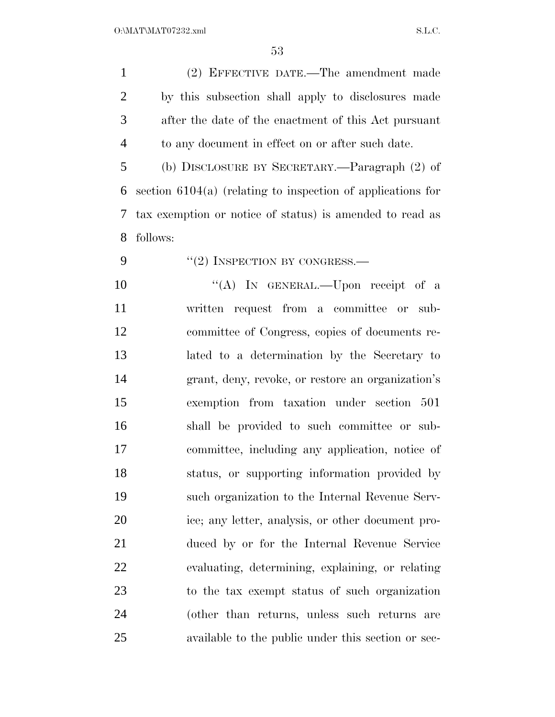| $\mathbf{1}$   | (2) EFFECTIVE DATE.—The amendment made                        |
|----------------|---------------------------------------------------------------|
| $\overline{c}$ | by this subsection shall apply to disclosures made            |
| 3              | after the date of the enactment of this Act pursuant          |
| $\overline{4}$ | to any document in effect on or after such date.              |
| 5              | (b) DISCLOSURE BY SECRETARY.—Paragraph (2) of                 |
| 6              | section $6104(a)$ (relating to inspection of applications for |
| 7              | tax exemption or notice of status) is amended to read as      |
| 8              | follows:                                                      |
| 9              | $``(2)$ INSPECTION BY CONGRESS.—                              |
| 10             | "(A) IN GENERAL.—Upon receipt of a                            |
| 11             | written request from a committee or sub-                      |
| 12             | committee of Congress, copies of documents re-                |
| 13             | lated to a determination by the Secretary to                  |
| 14             | grant, deny, revoke, or restore an organization's             |
| 15             | exemption from taxation under section 501                     |
| 16             | shall be provided to such committee or sub-                   |
| 17             | committee, including any application, notice of               |
| 18             | status, or supporting information provided by                 |
| 19             | such organization to the Internal Revenue Serv-               |
| 20             | ice; any letter, analysis, or other document pro-             |
| 21             | duced by or for the Internal Revenue Service                  |
| 22             | evaluating, determining, explaining, or relating              |
| 23             | to the tax exempt status of such organization                 |
| 24             | (other than returns, unless such returns are                  |
| 25             | available to the public under this section or sec-            |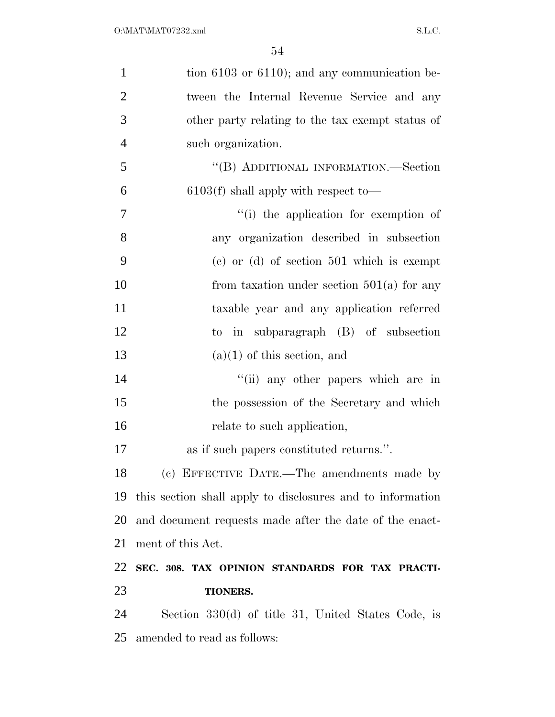| $\mathbf{1}$   | tion $6103$ or $6110$ ); and any communication be-         |
|----------------|------------------------------------------------------------|
| $\overline{2}$ | tween the Internal Revenue Service and any                 |
| 3              | other party relating to the tax exempt status of           |
| $\overline{4}$ | such organization.                                         |
| 5              | "(B) ADDITIONAL INFORMATION.—Section                       |
| 6              | $6103(f)$ shall apply with respect to-                     |
| 7              | "(i) the application for exemption of                      |
| 8              | any organization described in subsection                   |
| 9              | $(e)$ or $(d)$ of section 501 which is exempt              |
| 10             | from taxation under section $501(a)$ for any               |
| 11             | taxable year and any application referred                  |
| 12             | to in subparagraph (B) of subsection                       |
| 13             | $(a)(1)$ of this section, and                              |
| 14             | "(ii) any other papers which are in                        |
| 15             | the possession of the Secretary and which                  |
| 16             | relate to such application,                                |
| 17             | as if such papers constituted returns.".                   |
| 18             | (c) EFFECTIVE DATE.—The amendments made by                 |
| 19             | this section shall apply to disclosures and to information |
| 20             | and document requests made after the date of the enact-    |
| 21             | ment of this Act.                                          |
| 22             | SEC. 308. TAX OPINION STANDARDS FOR TAX PRACTI-            |
| 23             | <b>TIONERS.</b>                                            |
| 24             | Section 330(d) of title 31, United States Code, is         |
| 25             | amended to read as follows:                                |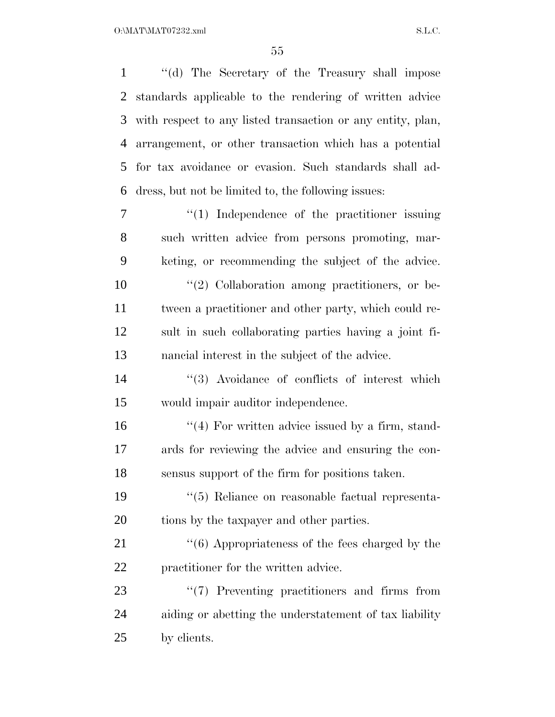''(d) The Secretary of the Treasury shall impose standards applicable to the rendering of written advice with respect to any listed transaction or any entity, plan, arrangement, or other transaction which has a potential for tax avoidance or evasion. Such standards shall ad- dress, but not be limited to, the following issues:  $\frac{1}{1}$  Independence of the practitioner issuing such written advice from persons promoting, mar- keting, or recommending the subject of the advice.  $\frac{1}{2}$  Collaboration among practitioners, or be- tween a practitioner and other party, which could re- sult in such collaborating parties having a joint fi- nancial interest in the subject of the advice. 14 ''(3) Avoidance of conflicts of interest which would impair auditor independence. 16 ''(4) For written advice issued by a firm, stand- ards for reviewing the advice and ensuring the con- sensus support of the firm for positions taken. ''(5) Reliance on reasonable factual representa-20 tions by the taxpayer and other parties. 21 ''(6) Appropriateness of the fees charged by the practitioner for the written advice.  $\frac{1}{2}$  Preventing practitioners and firms from aiding or abetting the understatement of tax liability by clients.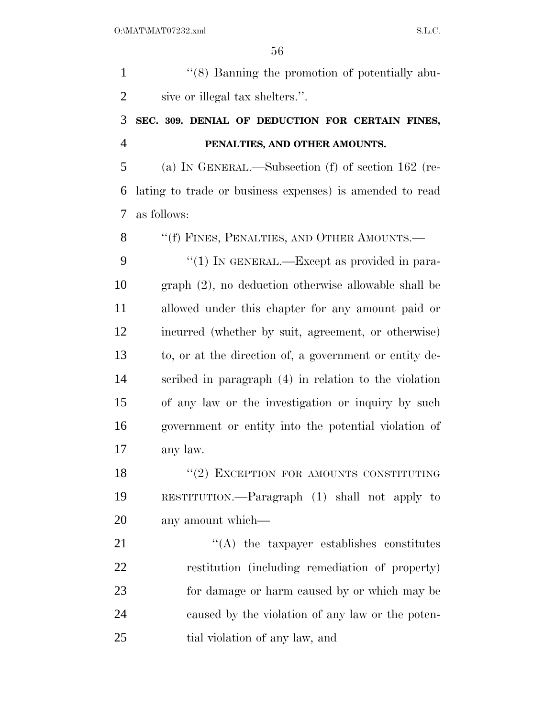| $\mathbf{1}$   | "(8) Banning the promotion of potentially abu-           |
|----------------|----------------------------------------------------------|
| $\overline{2}$ | sive or illegal tax shelters.".                          |
| 3              | SEC. 309. DENIAL OF DEDUCTION FOR CERTAIN FINES,         |
| $\overline{4}$ | PENALTIES, AND OTHER AMOUNTS.                            |
| 5              | (a) IN GENERAL.—Subsection $(f)$ of section 162 (re-     |
| 6              | lating to trade or business expenses) is amended to read |
| 7              | as follows:                                              |
| 8              | "(f) FINES, PENALTIES, AND OTHER AMOUNTS.-               |
| 9              | "(1) IN GENERAL.—Except as provided in para-             |
| 10             | $graph (2)$ , no deduction otherwise allowable shall be  |
| 11             | allowed under this chapter for any amount paid or        |
| 12             | incurred (whether by suit, agreement, or otherwise)      |
| 13             | to, or at the direction of, a government or entity de-   |
| 14             | scribed in paragraph (4) in relation to the violation    |
| 15             | of any law or the investigation or inquiry by such       |
| 16             | government or entity into the potential violation of     |
| 17             | any law.                                                 |
| 18             | "(2) EXCEPTION FOR AMOUNTS CONSTITUTING                  |
| 19             | RESTITUTION.— $\Gamma$ aragraph (1) shall not apply to   |
| 20             | any amount which—                                        |
| 21             | $\lq\lq$ the taxpayer establishes constitutes            |
| 22             | restitution (including remediation of property)          |
| 23             | for damage or harm caused by or which may be             |
| 24             | caused by the violation of any law or the poten-         |
| 25             | tial violation of any law, and                           |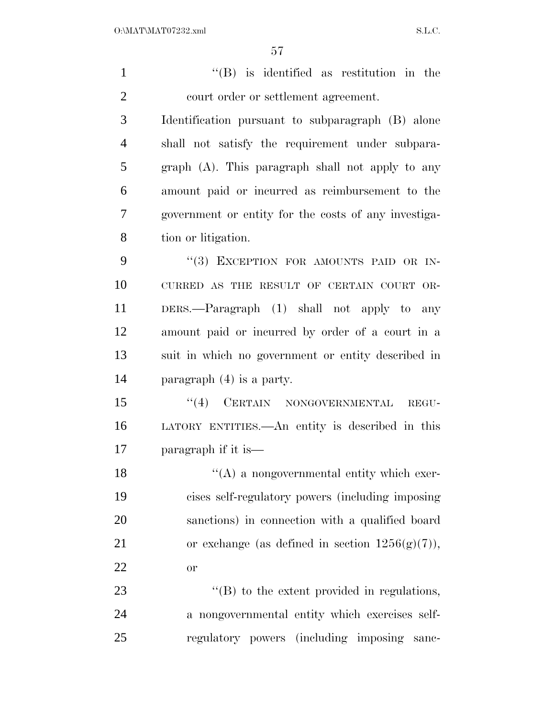''(B) is identified as restitution in the court order or settlement agreement. Identification pursuant to subparagraph (B) alone shall not satisfy the requirement under subpara- graph (A). This paragraph shall not apply to any amount paid or incurred as reimbursement to the government or entity for the costs of any investiga- tion or litigation. 9 "(3) EXCEPTION FOR AMOUNTS PAID OR IN- CURRED AS THE RESULT OF CERTAIN COURT OR- DERS.—Paragraph (1) shall not apply to any amount paid or incurred by order of a court in a suit in which no government or entity described in paragraph (4) is a party. 15 "(4) CERTAIN NONGOVERNMENTAL REGU- LATORY ENTITIES.—An entity is described in this paragraph if it is— ''(A) a nongovernmental entity which exer- cises self-regulatory powers (including imposing sanctions) in connection with a qualified board 21 or exchange (as defined in section  $1256(g)(7)$ ), or  $\bullet$  '(B) to the extent provided in regulations, a nongovernmental entity which exercises self-regulatory powers (including imposing sanc-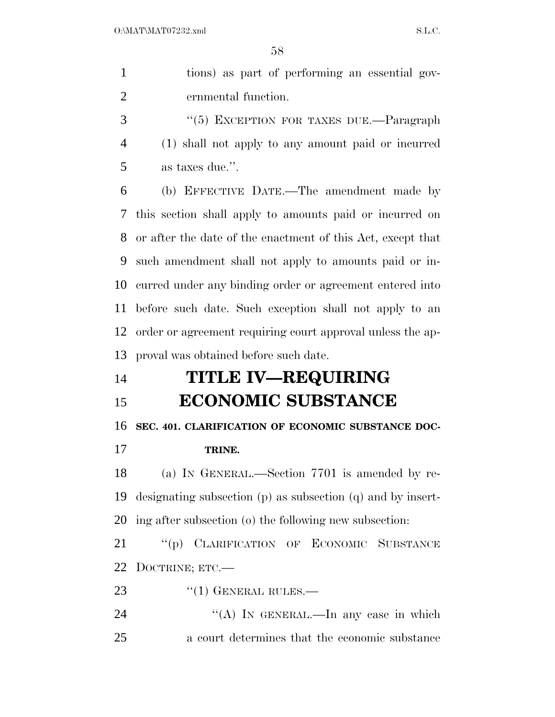tions) as part of performing an essential gov-ernmental function.

3 "(5) EXCEPTION FOR TAXES DUE.—Paragraph (1) shall not apply to any amount paid or incurred as taxes due.''.

 (b) EFFECTIVE DATE.—The amendment made by this section shall apply to amounts paid or incurred on or after the date of the enactment of this Act, except that such amendment shall not apply to amounts paid or in- curred under any binding order or agreement entered into before such date. Such exception shall not apply to an order or agreement requiring court approval unless the ap-proval was obtained before such date.

# **TITLE IV—REQUIRING**

## **ECONOMIC SUBSTANCE**

### **SEC. 401. CLARIFICATION OF ECONOMIC SUBSTANCE DOC-**

**TRINE.** 

 (a) IN GENERAL.—Section 7701 is amended by re- designating subsection (p) as subsection (q) and by insert-ing after subsection (o) the following new subsection:

 ''(p) CLARIFICATION OF ECONOMIC SUBSTANCE DOCTRINE; ETC.—

23 "(1) GENERAL RULES.—

24 "(A) IN GENERAL.—In any case in which a court determines that the economic substance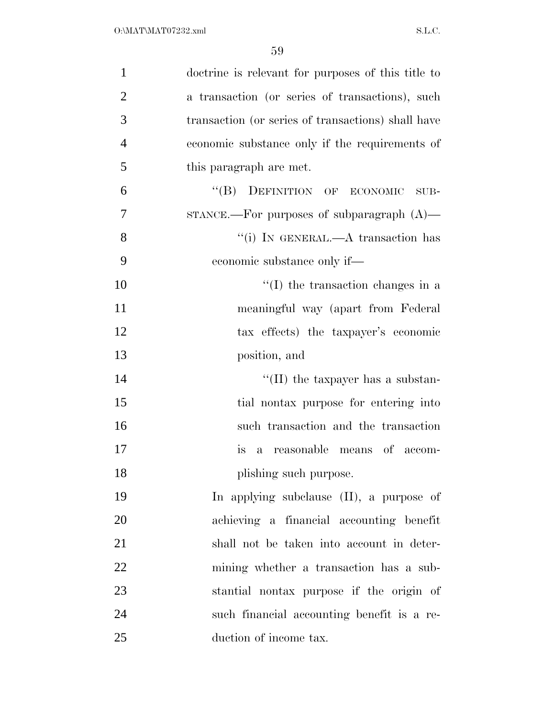| $\mathbf{1}$   | doctrine is relevant for purposes of this title to      |
|----------------|---------------------------------------------------------|
| $\overline{2}$ | a transaction (or series of transactions), such         |
| 3              | transaction (or series of transactions) shall have      |
| $\overline{4}$ | economic substance only if the requirements of          |
| 5              | this paragraph are met.                                 |
| 6              | "(B) DEFINITION OF ECONOMIC<br>SUB-                     |
| $\overline{7}$ | $STANCE$ . For purposes of subparagraph $(A)$ —         |
| 8              | "(i) IN GENERAL.—A transaction has                      |
| 9              | economic substance only if—                             |
| 10             | $\lq\lq$ (I) the transaction changes in a               |
| 11             | meaningful way (apart from Federal                      |
| 12             | tax effects) the taxpayer's economic                    |
| 13             | position, and                                           |
| 14             | "(II) the taxpayer has a substan-                       |
| 15             | tial nontax purpose for entering into                   |
| 16             | such transaction and the transaction                    |
| 17             | reasonable means of accom-<br><i>is</i><br>$\mathbf{a}$ |
| 18             | plishing such purpose.                                  |
| 19             | In applying subclause (II), a purpose of                |
| 20             | achieving a financial accounting benefit                |
| 21             | shall not be taken into account in deter-               |
| 22             | mining whether a transaction has a sub-                 |
| 23             | stantial nontax purpose if the origin of                |
| 24             | such financial accounting benefit is a re-              |
| 25             | duction of income tax.                                  |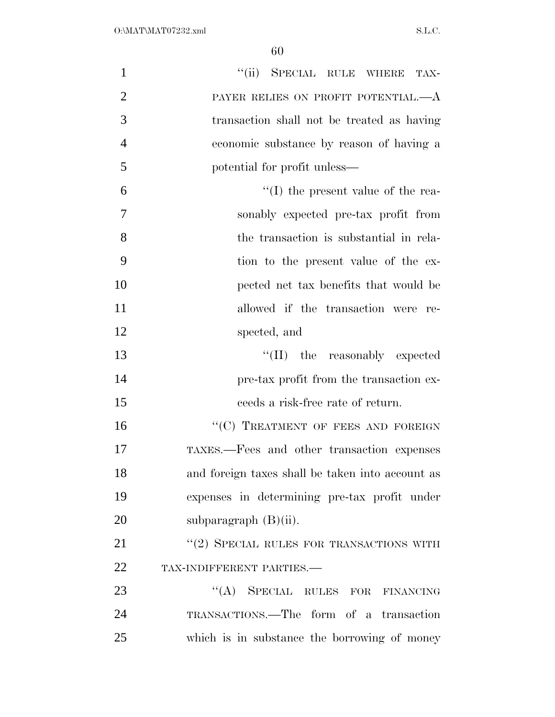| $\mathbf{1}$   | "(ii) SPECIAL RULE WHERE TAX-                    |
|----------------|--------------------------------------------------|
| $\overline{2}$ | PAYER RELIES ON PROFIT POTENTIAL.—A              |
| 3              | transaction shall not be treated as having       |
| $\overline{4}$ | economic substance by reason of having a         |
| 5              | potential for profit unless—                     |
| 6              | $\lq\lq$ (I) the present value of the rea-       |
| 7              | sonably expected pre-tax profit from             |
| 8              | the transaction is substantial in rela-          |
| 9              | tion to the present value of the ex-             |
| 10             | pected net tax benefits that would be            |
| 11             | allowed if the transaction were re-              |
| 12             | spected, and                                     |
| 13             | "(II) the reasonably expected                    |
| 14             | pre-tax profit from the transaction ex-          |
| 15             | ceeds a risk-free rate of return.                |
| 16             | "(C) TREATMENT OF FEES AND FOREIGN               |
| 17             | TAXES.—Fees and other transaction expenses       |
| 18             | and foreign taxes shall be taken into account as |
| 19             | expenses in determining pre-tax profit under     |
| 20             | subparagraph $(B)(ii)$ .                         |
| 21             | "(2) SPECIAL RULES FOR TRANSACTIONS WITH         |
| 22             | TAX-INDIFFERENT PARTIES.-                        |
| 23             | "(A) SPECIAL RULES FOR FINANCING                 |
| 24             | TRANSACTIONS.—The form of a transaction          |
| 25             | which is in substance the borrowing of money     |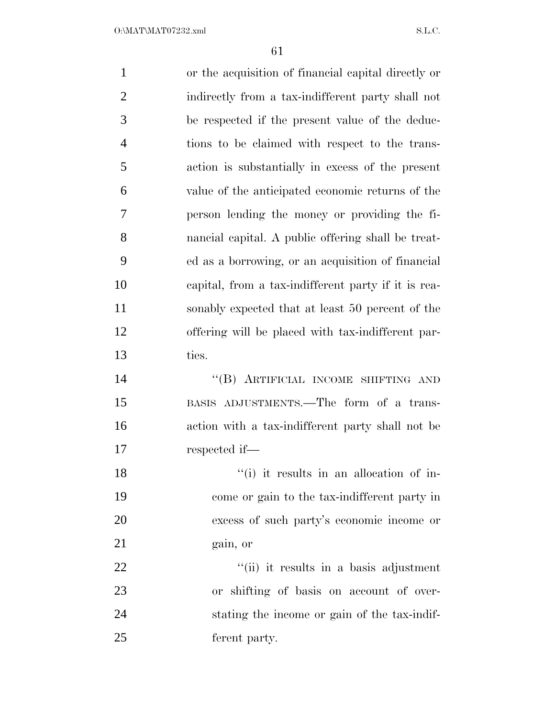| $\mathbf{1}$   | or the acquisition of financial capital directly or |
|----------------|-----------------------------------------------------|
| $\overline{2}$ | indirectly from a tax-indifferent party shall not   |
| 3              | be respected if the present value of the deduc-     |
| $\overline{4}$ | tions to be claimed with respect to the trans-      |
| 5              | action is substantially in excess of the present    |
| 6              | value of the anticipated economic returns of the    |
| 7              | person lending the money or providing the fi-       |
| 8              | nancial capital. A public offering shall be treat-  |
| 9              | ed as a borrowing, or an acquisition of financial   |
| 10             | capital, from a tax-indifferent party if it is rea- |
| 11             | sonably expected that at least 50 percent of the    |
| 12             | offering will be placed with tax-indifferent par-   |
| 13             | ties.                                               |
| 14             | "(B) ARTIFICIAL INCOME SHIFTING AND                 |
| 15             | BASIS ADJUSTMENTS.—The form of a trans-             |
| 16             | action with a tax-indifferent party shall not be    |
| 17             | respected if—                                       |
| 18             | "(i) it results in an allocation of in-             |
| 19             | come or gain to the tax-indifferent party in        |
| 20             | excess of such party's economic income or           |
| 21             | gain, or                                            |
| 22             | "(ii) it results in a basis adjustment              |
| 23             | or shifting of basis on account of over-            |
| 24             | stating the income or gain of the tax-indif-        |
| 25             | ferent party.                                       |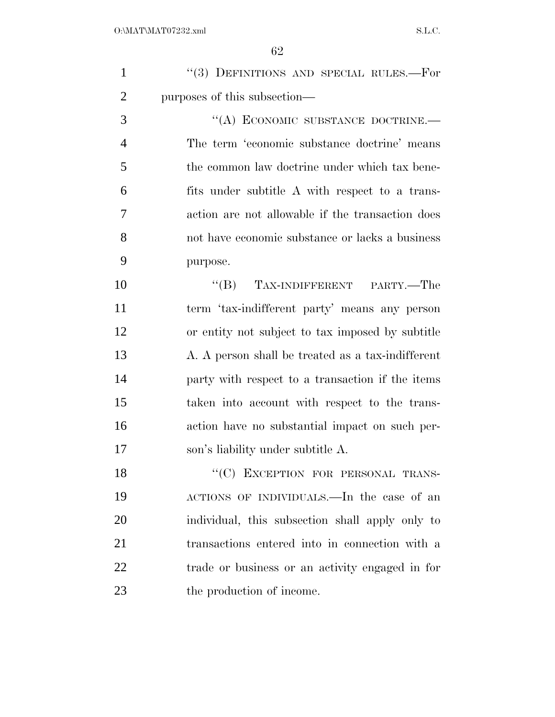| $\mathbf{1}$   | "(3) DEFINITIONS AND SPECIAL RULES.-For           |
|----------------|---------------------------------------------------|
| $\overline{2}$ | purposes of this subsection—                      |
| 3              | "(A) ECONOMIC SUBSTANCE DOCTRINE.-                |
| $\overline{4}$ | The term 'economic substance doctrine' means      |
| 5              | the common law doctrine under which tax bene-     |
| 6              | fits under subtitle A with respect to a trans-    |
| 7              | action are not allowable if the transaction does  |
| 8              | not have economic substance or lacks a business   |
| 9              | purpose.                                          |
| 10             | "(B) TAX-INDIFFERENT PARTY.—The                   |
| 11             | term 'tax-indifferent party' means any person     |
| 12             | or entity not subject to tax imposed by subtitle  |
| 13             | A. A person shall be treated as a tax-indifferent |
| 14             | party with respect to a transaction if the items  |
| 15             | taken into account with respect to the trans-     |
| 16             | action have no substantial impact on such per-    |
| 17             | son's liability under subtitle A.                 |
| 18             | "(C) EXCEPTION FOR PERSONAL TRANS-                |
| 19             | ACTIONS OF INDIVIDUALS.—In the case of an         |
| 20             | individual, this subsection shall apply only to   |
| 21             | transactions entered into in connection with a    |
| 22             | trade or business or an activity engaged in for   |
| 23             | the production of income.                         |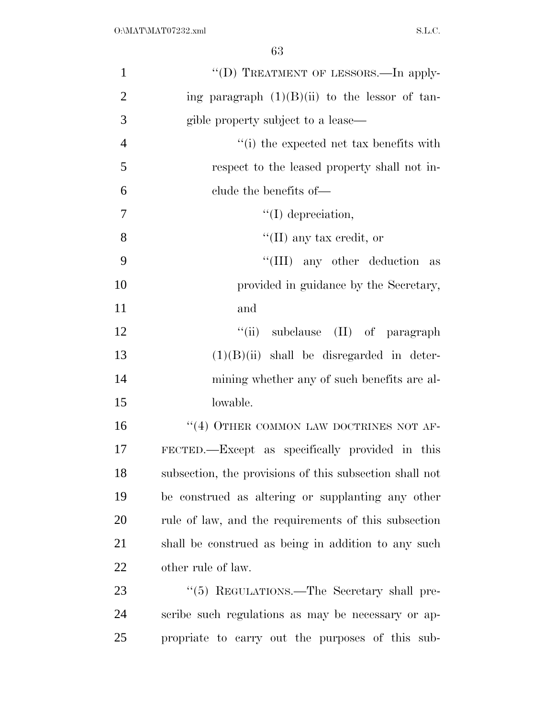| $\mathbf{1}$   | "(D) TREATMENT OF LESSORS.—In apply-                    |
|----------------|---------------------------------------------------------|
| $\overline{2}$ | ing paragraph $(1)(B)(ii)$ to the lessor of tan-        |
| 3              | gible property subject to a lease—                      |
| $\overline{4}$ | $``(i)$ the expected net tax benefits with              |
| 5              | respect to the leased property shall not in-            |
| 6              | clude the benefits of—                                  |
| 7              | $\lq\lq$ (I) depreciation,                              |
| 8              | "(II) any tax credit, or                                |
| 9              | "(III) any other deduction as                           |
| 10             | provided in guidance by the Secretary,                  |
| 11             | and                                                     |
| 12             | "(ii) subclause $(II)$ of paragraph                     |
| 13             | $(1)(B)(ii)$ shall be disregarded in deter-             |
| 14             | mining whether any of such benefits are al-             |
| 15             | lowable.                                                |
| 16             | $``(4)$ OTHER COMMON LAW DOCTRINES NOT AF-              |
| 17             | FECTED.—Except as specifically provided in this         |
| 18             | subsection, the provisions of this subsection shall not |
| 19             | be construed as altering or supplanting any other       |
| 20             | rule of law, and the requirements of this subsection    |
| 21             | shall be construed as being in addition to any such     |
| 22             | other rule of law.                                      |
| 23             | "(5) REGULATIONS.—The Secretary shall pre-              |
| 24             | scribe such regulations as may be necessary or ap-      |
| 25             | propriate to carry out the purposes of this sub-        |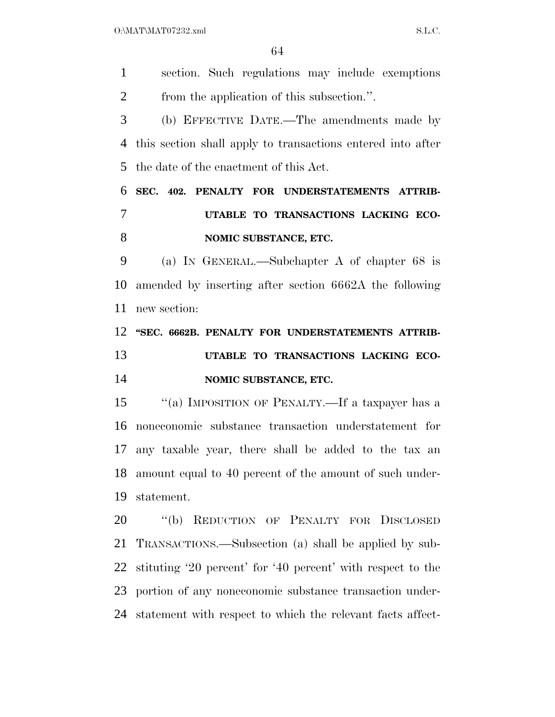$O:\text{MAT} \setminus \text{MAT} \setminus \text{SAT} \setminus \text{SAT} \setminus \text{SAT} \setminus \text{SAT} \setminus \text{SAT} \setminus \text{SAT} \setminus \text{SAT} \setminus \text{SAT} \setminus \text{SAT} \setminus \text{SAT} \setminus \text{SAT} \setminus \text{SAT} \setminus \text{SAT} \setminus \text{SAT} \setminus \text{SAT} \setminus \text{SAT} \setminus \text{SAT} \setminus \text{SAT} \setminus \text{SAT} \setminus \text{SAT} \setminus \text{SAT} \setminus \text{SAT} \setminus \text{SAT} \setminus \text{SAT} \setminus \text{SAT} \setminus \text{$ 

 section. Such regulations may include exemptions from the application of this subsection.''. (b) EFFECTIVE DATE.—The amendments made by this section shall apply to transactions entered into after the date of the enactment of this Act. **SEC. 402. PENALTY FOR UNDERSTATEMENTS ATTRIB- UTABLE TO TRANSACTIONS LACKING ECO-NOMIC SUBSTANCE, ETC.**  (a) IN GENERAL.—Subchapter A of chapter 68 is amended by inserting after section 6662A the following new section: **''SEC. 6662B. PENALTY FOR UNDERSTATEMENTS ATTRIB- UTABLE TO TRANSACTIONS LACKING ECO- NOMIC SUBSTANCE, ETC.**  ''(a) IMPOSITION OF PENALTY.—If a taxpayer has a noneconomic substance transaction understatement for any taxable year, there shall be added to the tax an amount equal to 40 percent of the amount of such under- statement. ''(b) REDUCTION OF PENALTY FOR DISCLOSED TRANSACTIONS.—Subsection (a) shall be applied by sub- stituting '20 percent' for '40 percent' with respect to the portion of any noneconomic substance transaction under-statement with respect to which the relevant facts affect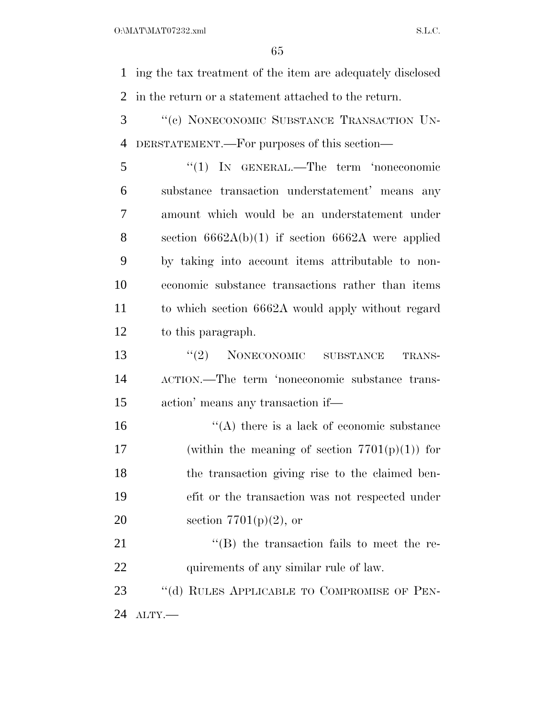$O:\text{MAT} \setminus \text{MAT} \setminus \text{SAT} \setminus \text{SAT} \setminus \text{SAT} \setminus \text{SAT} \setminus \text{SAT} \setminus \text{SAT} \setminus \text{SAT} \setminus \text{SAT} \setminus \text{SAT} \setminus \text{SAT} \setminus \text{SAT} \setminus \text{SAT} \setminus \text{SAT} \setminus \text{SAT} \setminus \text{SAT} \setminus \text{SAT} \setminus \text{SAT} \setminus \text{SAT} \setminus \text{SAT} \setminus \text{SAT} \setminus \text{SAT} \setminus \text{SAT} \setminus \text{SAT} \setminus \text{SAT} \setminus \text{SAT} \setminus \text{$ 

 ing the tax treatment of the item are adequately disclosed in the return or a statement attached to the return.

 ''(c) NONECONOMIC SUBSTANCE TRANSACTION UN-DERSTATEMENT.—For purposes of this section—

 ''(1) IN GENERAL.—The term 'noneconomic substance transaction understatement' means any amount which would be an understatement under section 6662A(b)(1) if section 6662A were applied by taking into account items attributable to non- economic substance transactions rather than items to which section 6662A would apply without regard to this paragraph.

13 "(2) NONECONOMIC SUBSTANCE TRANS- ACTION.—The term 'noneconomic substance trans-action' means any transaction if—

16  $"$ (A) there is a lack of economic substance 17 (within the meaning of section  $7701(p)(1)$ ) for the transaction giving rise to the claimed ben- efit or the transaction was not respected under 20 section  $7701(p)(2)$ , or

21 ''(B) the transaction fails to meet the re-22 quirements of any similar rule of law.

23 "(d) RULES APPLICABLE TO COMPROMISE OF PEN-ALTY.—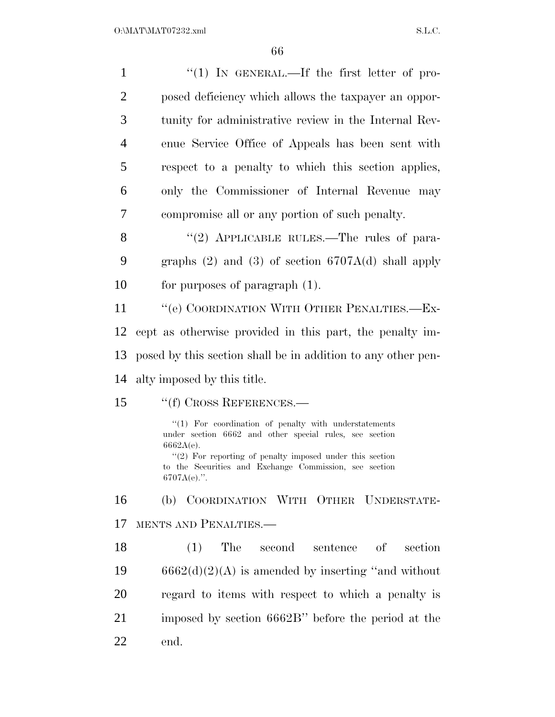| $\mathbf{1}$   | "(1) IN GENERAL.—If the first letter of pro-                                                                                                                                                                                                                               |
|----------------|----------------------------------------------------------------------------------------------------------------------------------------------------------------------------------------------------------------------------------------------------------------------------|
| $\overline{2}$ | posed deficiency which allows the taxpayer an oppor-                                                                                                                                                                                                                       |
| 3              | tunity for administrative review in the Internal Rev-                                                                                                                                                                                                                      |
| 4              | enue Service Office of Appeals has been sent with                                                                                                                                                                                                                          |
| 5              | respect to a penalty to which this section applies,                                                                                                                                                                                                                        |
| 6              | only the Commissioner of Internal Revenue may                                                                                                                                                                                                                              |
| 7              | compromise all or any portion of such penalty.                                                                                                                                                                                                                             |
| 8              | "(2) APPLICABLE RULES.—The rules of para-                                                                                                                                                                                                                                  |
| 9              | graphs $(2)$ and $(3)$ of section $6707A(d)$ shall apply                                                                                                                                                                                                                   |
| 10             | for purposes of paragraph $(1)$ .                                                                                                                                                                                                                                          |
| 11             | "(e) COORDINATION WITH OTHER PENALTIES.—Ex-                                                                                                                                                                                                                                |
| 12             | cept as otherwise provided in this part, the penalty im-                                                                                                                                                                                                                   |
| 13             | posed by this section shall be in addition to any other pen-                                                                                                                                                                                                               |
| 14             | alty imposed by this title.                                                                                                                                                                                                                                                |
| 15             | "(f) CROSS REFERENCES.—                                                                                                                                                                                                                                                    |
|                | "(1) For coordination of penalty with understatements<br>under section 6662 and other special rules, see section<br>$6662A(e)$ .<br>$"(2)$ For reporting of penalty imposed under this section<br>to the Securities and Exchange Commission, see section<br>$6707A(e)$ .". |
| 16             | (b) COORDINATION WITH OTHER UNDERSTATE-                                                                                                                                                                                                                                    |
| 17             | MENTS AND PENALTIES.-                                                                                                                                                                                                                                                      |
| 18             | (1)<br>The<br>second<br>sentence of<br>section                                                                                                                                                                                                                             |
| 19             | $6662(d)(2)(A)$ is amended by inserting "and without                                                                                                                                                                                                                       |
| 20             | regard to items with respect to which a penalty is                                                                                                                                                                                                                         |
| 21             | imposed by section 6662B" before the period at the                                                                                                                                                                                                                         |
| 22             | end.                                                                                                                                                                                                                                                                       |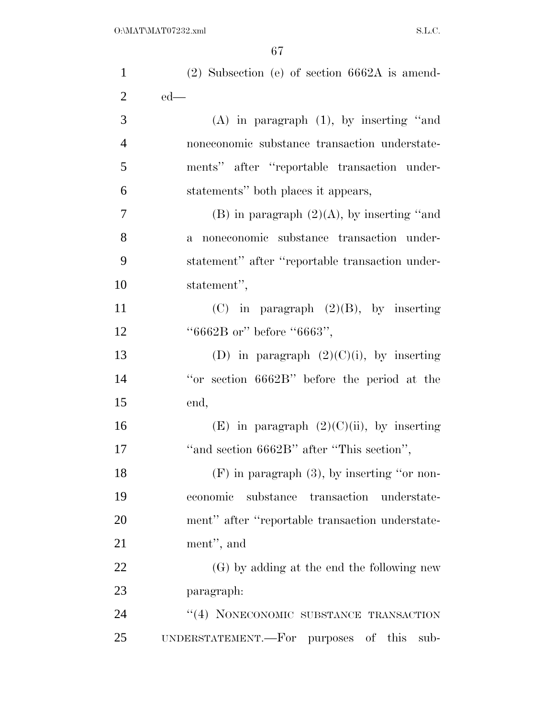| $\mathbf{1}$   | $(2)$ Subsection (e) of section 6662A is amend-     |
|----------------|-----------------------------------------------------|
| $\overline{2}$ | $ed$ —                                              |
| 3              | $(A)$ in paragraph $(1)$ , by inserting "and        |
| $\overline{4}$ | noneconomic substance transaction understate-       |
| 5              | ments" after "reportable transaction under-         |
| 6              | statements" both places it appears,                 |
| 7              | (B) in paragraph $(2)(A)$ , by inserting "and       |
| 8              | a noneconomic substance transaction under-          |
| 9              | statement" after "reportable transaction under-     |
| 10             | statement",                                         |
| 11             | (C) in paragraph $(2)(B)$ , by inserting            |
| 12             | "6662B or" before "6663",                           |
| 13             | (D) in paragraph $(2)(C)(i)$ , by inserting         |
| 14             | "or section 6662B" before the period at the         |
| 15             | end,                                                |
| 16             | (E) in paragraph $(2)(C)(ii)$ , by inserting        |
| 17             | "and section 6662B" after "This section",           |
| 18             | $(F)$ in paragraph $(3)$ , by inserting "or non-    |
| 19             | economic<br>substance<br>transaction<br>understate- |
| 20             | ment" after "reportable transaction understate-     |
| 21             | ment", and                                          |
| 22             | (G) by adding at the end the following new          |
| 23             | paragraph:                                          |
| 24             | "(4) NONECONOMIC SUBSTANCE TRANSACTION              |
| 25             | UNDERSTATEMENT.—For purposes of this<br>sub-        |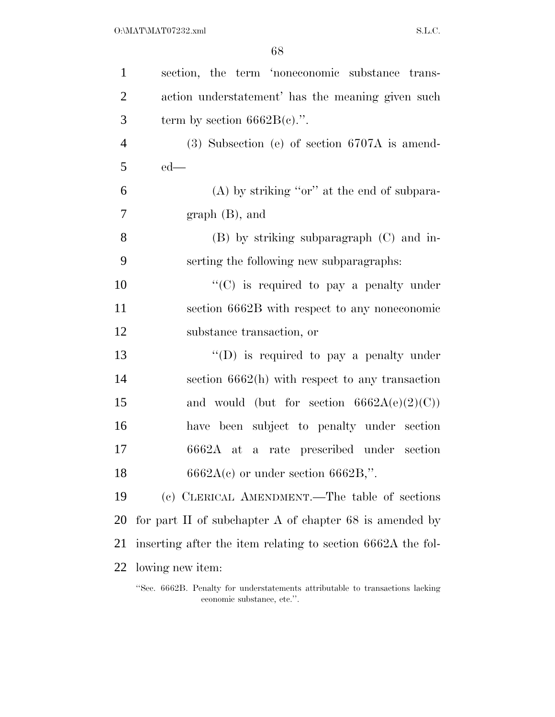| $\mathbf{1}$   | section, the term 'noneconomic substance trans-             |
|----------------|-------------------------------------------------------------|
| $\overline{2}$ | action understatement' has the meaning given such           |
| 3              | term by section $6662B(c)$ .".                              |
| $\overline{4}$ | $(3)$ Subsection (e) of section 6707A is amend-             |
| 5              | $ed$ —                                                      |
| 6              | $(A)$ by striking "or" at the end of subpara-               |
| 7              | $graph(B)$ , and                                            |
| 8              | $(B)$ by striking subparagraph $(C)$ and in-                |
| 9              | serting the following new subparagraphs:                    |
| 10             | " $(C)$ is required to pay a penalty under                  |
| 11             | section 6662B with respect to any noneconomic               |
| 12             | substance transaction, or                                   |
| 13             | "(D) is required to pay a penalty under                     |
| 14             | section $6662(h)$ with respect to any transaction           |
| 15             | and would (but for section $6662A(e)(2)(C)$ )               |
| 16             | have been subject to penalty under section                  |
| 17             | a rate prescribed under section<br>$6662A$ at               |
| 18             | $6662A(c)$ or under section $6662B$ ,".                     |
| 19             | (c) CLERICAL AMENDMENT.—The table of sections               |
| 20             | for part II of subchapter A of chapter $68$ is amended by   |
| 21             | inserting after the item relating to section 6662A the fol- |
| 22             | lowing new item:                                            |
|                |                                                             |

<sup>&#</sup>x27;'Sec. 6662B. Penalty for understatements attributable to transactions lacking economic substance, etc.''.